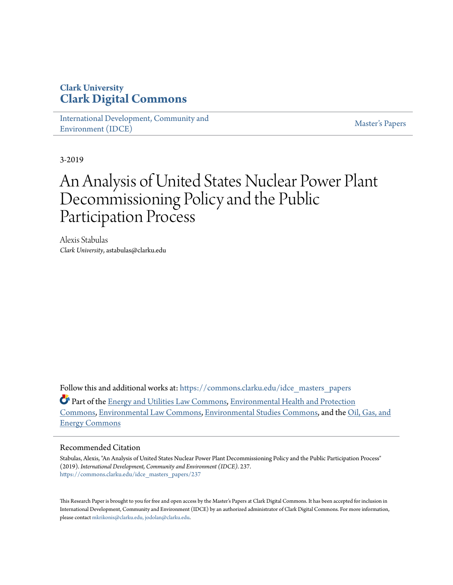## **Clark University [Clark Digital Commons](https://commons.clarku.edu?utm_source=commons.clarku.edu%2Fidce_masters_papers%2F237&utm_medium=PDF&utm_campaign=PDFCoverPages)**

[International Development, Community and](https://commons.clarku.edu/idce_masters_papers?utm_source=commons.clarku.edu%2Fidce_masters_papers%2F237&utm_medium=PDF&utm_campaign=PDFCoverPages) [Environment \(IDCE\)](https://commons.clarku.edu/idce_masters_papers?utm_source=commons.clarku.edu%2Fidce_masters_papers%2F237&utm_medium=PDF&utm_campaign=PDFCoverPages)

[Master's Papers](https://commons.clarku.edu/masters_papers?utm_source=commons.clarku.edu%2Fidce_masters_papers%2F237&utm_medium=PDF&utm_campaign=PDFCoverPages)

3-2019

# An Analysis of United States Nuclear Power Plant Decommissioning Policy and the Public Participation Process

Alexis Stabulas *Clark University*, astabulas@clarku.edu

Follow this and additional works at: [https://commons.clarku.edu/idce\\_masters\\_papers](https://commons.clarku.edu/idce_masters_papers?utm_source=commons.clarku.edu%2Fidce_masters_papers%2F237&utm_medium=PDF&utm_campaign=PDFCoverPages)

Part of the [Energy and Utilities Law Commons,](http://network.bepress.com/hgg/discipline/891?utm_source=commons.clarku.edu%2Fidce_masters_papers%2F237&utm_medium=PDF&utm_campaign=PDFCoverPages) [Environmental Health and Protection](http://network.bepress.com/hgg/discipline/172?utm_source=commons.clarku.edu%2Fidce_masters_papers%2F237&utm_medium=PDF&utm_campaign=PDFCoverPages) [Commons,](http://network.bepress.com/hgg/discipline/172?utm_source=commons.clarku.edu%2Fidce_masters_papers%2F237&utm_medium=PDF&utm_campaign=PDFCoverPages) [Environmental Law Commons](http://network.bepress.com/hgg/discipline/599?utm_source=commons.clarku.edu%2Fidce_masters_papers%2F237&utm_medium=PDF&utm_campaign=PDFCoverPages), [Environmental Studies Commons,](http://network.bepress.com/hgg/discipline/1333?utm_source=commons.clarku.edu%2Fidce_masters_papers%2F237&utm_medium=PDF&utm_campaign=PDFCoverPages) and the [Oil, Gas, and](http://network.bepress.com/hgg/discipline/171?utm_source=commons.clarku.edu%2Fidce_masters_papers%2F237&utm_medium=PDF&utm_campaign=PDFCoverPages) [Energy Commons](http://network.bepress.com/hgg/discipline/171?utm_source=commons.clarku.edu%2Fidce_masters_papers%2F237&utm_medium=PDF&utm_campaign=PDFCoverPages)

#### Recommended Citation

Stabulas, Alexis, "An Analysis of United States Nuclear Power Plant Decommissioning Policy and the Public Participation Process" (2019). *International Development, Community and Environment (IDCE)*. 237. [https://commons.clarku.edu/idce\\_masters\\_papers/237](https://commons.clarku.edu/idce_masters_papers/237?utm_source=commons.clarku.edu%2Fidce_masters_papers%2F237&utm_medium=PDF&utm_campaign=PDFCoverPages)

This Research Paper is brought to you for free and open access by the Master's Papers at Clark Digital Commons. It has been accepted for inclusion in International Development, Community and Environment (IDCE) by an authorized administrator of Clark Digital Commons. For more information, please contact [mkrikonis@clarku.edu, jodolan@clarku.edu](mailto:mkrikonis@clarku.edu,%20jodolan@clarku.edu).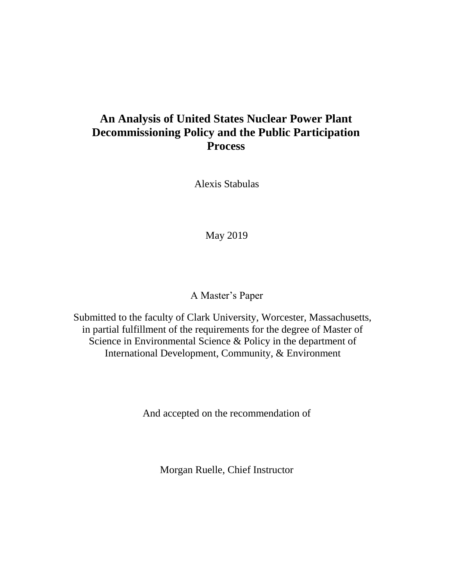## **An Analysis of United States Nuclear Power Plant Decommissioning Policy and the Public Participation Process**

Alexis Stabulas

May 2019

A Master's Paper

Submitted to the faculty of Clark University, Worcester, Massachusetts, in partial fulfillment of the requirements for the degree of Master of Science in Environmental Science & Policy in the department of International Development, Community, & Environment

And accepted on the recommendation of

Morgan Ruelle, Chief Instructor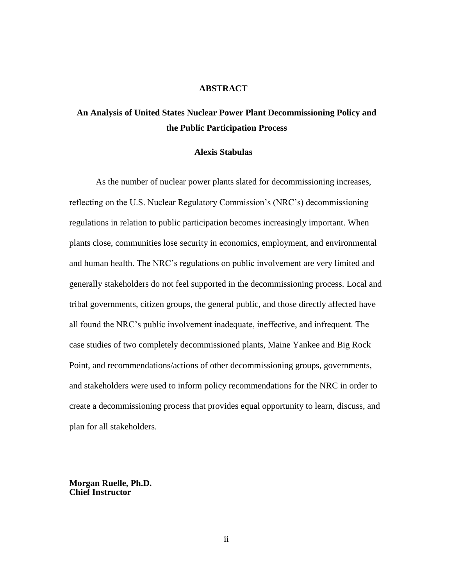#### **ABSTRACT**

## **An Analysis of United States Nuclear Power Plant Decommissioning Policy and the Public Participation Process**

#### **Alexis Stabulas**

As the number of nuclear power plants slated for decommissioning increases, reflecting on the U.S. Nuclear Regulatory Commission's (NRC's) decommissioning regulations in relation to public participation becomes increasingly important. When plants close, communities lose security in economics, employment, and environmental and human health. The NRC's regulations on public involvement are very limited and generally stakeholders do not feel supported in the decommissioning process. Local and tribal governments, citizen groups, the general public, and those directly affected have all found the NRC's public involvement inadequate, ineffective, and infrequent. The case studies of two completely decommissioned plants, Maine Yankee and Big Rock Point, and recommendations/actions of other decommissioning groups, governments, and stakeholders were used to inform policy recommendations for the NRC in order to create a decommissioning process that provides equal opportunity to learn, discuss, and plan for all stakeholders.

**Morgan Ruelle, Ph.D. Chief Instructor**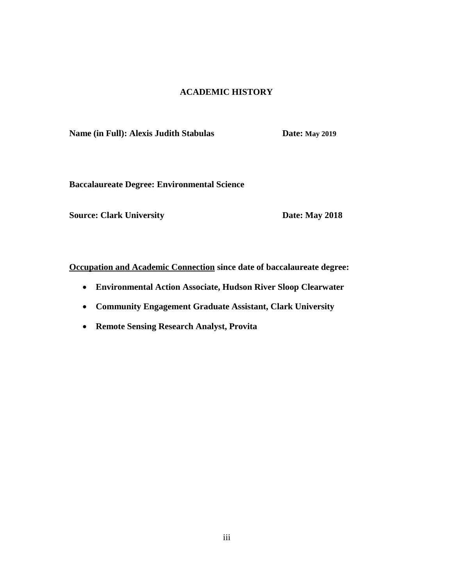### **ACADEMIC HISTORY**

**Name** (in Full): Alexis Judith Stabulas **Date: May 2019** 

**Baccalaureate Degree: Environmental Science**

**Source: Clark University Date: May 2018** 

**Occupation and Academic Connection since date of baccalaureate degree:**

- **Environmental Action Associate, Hudson River Sloop Clearwater**
- **Community Engagement Graduate Assistant, Clark University**
- **Remote Sensing Research Analyst, Provita**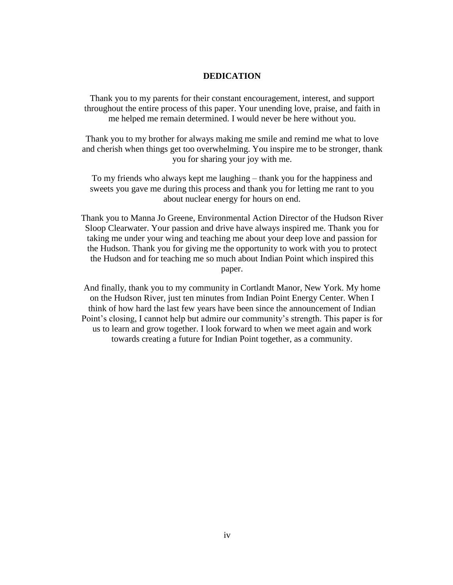#### **DEDICATION**

Thank you to my parents for their constant encouragement, interest, and support throughout the entire process of this paper. Your unending love, praise, and faith in me helped me remain determined. I would never be here without you.

Thank you to my brother for always making me smile and remind me what to love and cherish when things get too overwhelming. You inspire me to be stronger, thank you for sharing your joy with me.

To my friends who always kept me laughing – thank you for the happiness and sweets you gave me during this process and thank you for letting me rant to you about nuclear energy for hours on end.

Thank you to Manna Jo Greene, Environmental Action Director of the Hudson River Sloop Clearwater. Your passion and drive have always inspired me. Thank you for taking me under your wing and teaching me about your deep love and passion for the Hudson. Thank you for giving me the opportunity to work with you to protect the Hudson and for teaching me so much about Indian Point which inspired this paper.

And finally, thank you to my community in Cortlandt Manor, New York. My home on the Hudson River, just ten minutes from Indian Point Energy Center. When I think of how hard the last few years have been since the announcement of Indian Point's closing, I cannot help but admire our community's strength. This paper is for us to learn and grow together. I look forward to when we meet again and work towards creating a future for Indian Point together, as a community.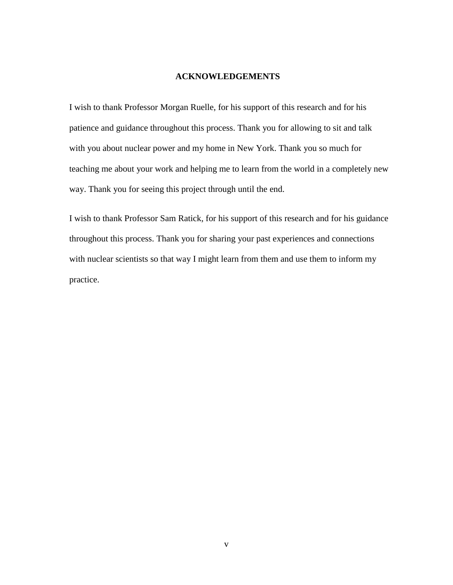#### **ACKNOWLEDGEMENTS**

I wish to thank Professor Morgan Ruelle, for his support of this research and for his patience and guidance throughout this process. Thank you for allowing to sit and talk with you about nuclear power and my home in New York. Thank you so much for teaching me about your work and helping me to learn from the world in a completely new way. Thank you for seeing this project through until the end.

I wish to thank Professor Sam Ratick, for his support of this research and for his guidance throughout this process. Thank you for sharing your past experiences and connections with nuclear scientists so that way I might learn from them and use them to inform my practice.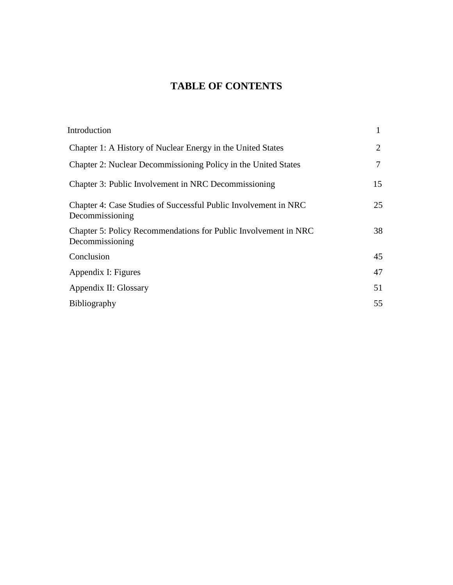## **TABLE OF CONTENTS**

| Introduction                                                                       |    |
|------------------------------------------------------------------------------------|----|
| Chapter 1: A History of Nuclear Energy in the United States                        | 2  |
| Chapter 2: Nuclear Decommissioning Policy in the United States                     | 7  |
| Chapter 3: Public Involvement in NRC Decommissioning                               | 15 |
| Chapter 4: Case Studies of Successful Public Involvement in NRC<br>Decommissioning | 25 |
| Chapter 5: Policy Recommendations for Public Involvement in NRC<br>Decommissioning | 38 |
| Conclusion                                                                         | 45 |
| Appendix I: Figures                                                                | 47 |
| Appendix II: Glossary                                                              | 51 |
| Bibliography                                                                       | 55 |
|                                                                                    |    |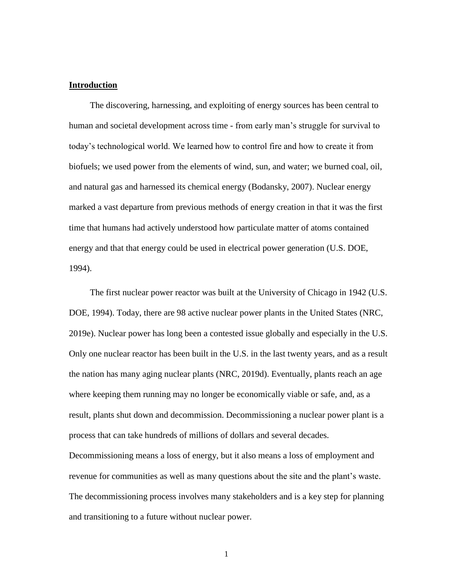#### **Introduction**

The discovering, harnessing, and exploiting of energy sources has been central to human and societal development across time - from early man's struggle for survival to today's technological world. We learned how to control fire and how to create it from biofuels; we used power from the elements of wind, sun, and water; we burned coal, oil, and natural gas and harnessed its chemical energy (Bodansky, 2007). Nuclear energy marked a vast departure from previous methods of energy creation in that it was the first time that humans had actively understood how particulate matter of atoms contained energy and that that energy could be used in electrical power generation (U.S. DOE, 1994).

The first nuclear power reactor was built at the University of Chicago in 1942 (U.S. DOE, 1994). Today, there are 98 active nuclear power plants in the United States (NRC, 2019e). Nuclear power has long been a contested issue globally and especially in the U.S. Only one nuclear reactor has been built in the U.S. in the last twenty years, and as a result the nation has many aging nuclear plants (NRC, 2019d). Eventually, plants reach an age where keeping them running may no longer be economically viable or safe, and, as a result, plants shut down and decommission. Decommissioning a nuclear power plant is a process that can take hundreds of millions of dollars and several decades.

Decommissioning means a loss of energy, but it also means a loss of employment and revenue for communities as well as many questions about the site and the plant's waste. The decommissioning process involves many stakeholders and is a key step for planning and transitioning to a future without nuclear power.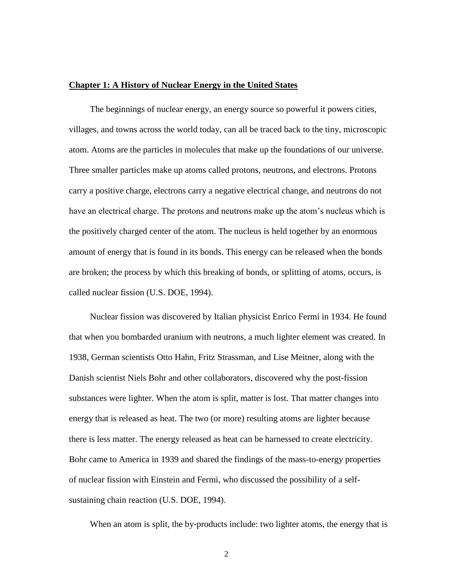#### **Chapter 1: A History of Nuclear Energy in the United States**

The beginnings of nuclear energy, an energy source so powerful it powers cities, villages, and towns across the world today, can all be traced back to the tiny, microscopic atom. Atoms are the particles in molecules that make up the foundations of our universe. Three smaller particles make up atoms called protons, neutrons, and electrons. Protons carry a positive charge, electrons carry a negative electrical change, and neutrons do not have an electrical charge. The protons and neutrons make up the atom's nucleus which is the positively charged center of the atom. The nucleus is held together by an enormous amount of energy that is found in its bonds. This energy can be released when the bonds are broken; the process by which this breaking of bonds, or splitting of atoms, occurs, is called nuclear fission (U.S. DOE, 1994).

Nuclear fission was discovered by Italian physicist Enrico Fermi in 1934. He found that when you bombarded uranium with neutrons, a much lighter element was created. In 1938, German scientists Otto Hahn, Fritz Strassman, and Lise Meitner, along with the Danish scientist Niels Bohr and other collaborators, discovered why the post-fission substances were lighter. When the atom is split, matter is lost. That matter changes into energy that is released as heat. The two (or more) resulting atoms are lighter because there is less matter. The energy released as heat can be harnessed to create electricity. Bohr came to America in 1939 and shared the findings of the mass-to-energy properties of nuclear fission with Einstein and Fermi, who discussed the possibility of a selfsustaining chain reaction (U.S. DOE, 1994).

When an atom is split, the by-products include: two lighter atoms, the energy that is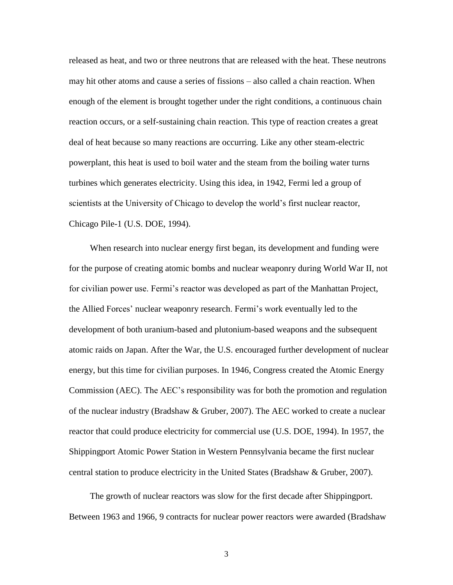released as heat, and two or three neutrons that are released with the heat. These neutrons may hit other atoms and cause a series of fissions – also called a chain reaction. When enough of the element is brought together under the right conditions, a continuous chain reaction occurs, or a self-sustaining chain reaction. This type of reaction creates a great deal of heat because so many reactions are occurring. Like any other steam-electric powerplant, this heat is used to boil water and the steam from the boiling water turns turbines which generates electricity. Using this idea, in 1942, Fermi led a group of scientists at the University of Chicago to develop the world's first nuclear reactor, Chicago Pile-1 (U.S. DOE, 1994).

When research into nuclear energy first began, its development and funding were for the purpose of creating atomic bombs and nuclear weaponry during World War II, not for civilian power use. Fermi's reactor was developed as part of the Manhattan Project, the Allied Forces' nuclear weaponry research. Fermi's work eventually led to the development of both uranium-based and plutonium-based weapons and the subsequent atomic raids on Japan. After the War, the U.S. encouraged further development of nuclear energy, but this time for civilian purposes. In 1946, Congress created the Atomic Energy Commission (AEC). The AEC's responsibility was for both the promotion and regulation of the nuclear industry (Bradshaw & Gruber, 2007). The AEC worked to create a nuclear reactor that could produce electricity for commercial use (U.S. DOE, 1994). In 1957, the Shippingport Atomic Power Station in Western Pennsylvania became the first nuclear central station to produce electricity in the United States (Bradshaw & Gruber, 2007).

The growth of nuclear reactors was slow for the first decade after Shippingport. Between 1963 and 1966, 9 contracts for nuclear power reactors were awarded (Bradshaw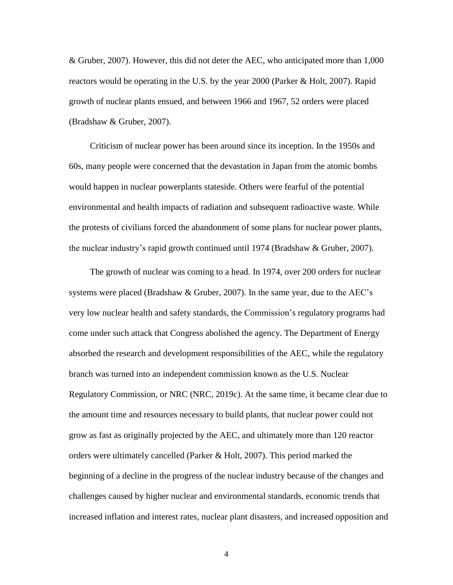& Gruber, 2007). However, this did not deter the AEC, who anticipated more than 1,000 reactors would be operating in the U.S. by the year 2000 (Parker & Holt, 2007). Rapid growth of nuclear plants ensued, and between 1966 and 1967, 52 orders were placed (Bradshaw & Gruber, 2007).

Criticism of nuclear power has been around since its inception. In the 1950s and 60s, many people were concerned that the devastation in Japan from the atomic bombs would happen in nuclear powerplants stateside. Others were fearful of the potential environmental and health impacts of radiation and subsequent radioactive waste. While the protests of civilians forced the abandonment of some plans for nuclear power plants, the nuclear industry's rapid growth continued until 1974 (Bradshaw & Gruber, 2007).

The growth of nuclear was coming to a head. In 1974, over 200 orders for nuclear systems were placed (Bradshaw & Gruber, 2007). In the same year, due to the AEC's very low nuclear health and safety standards, the Commission's regulatory programs had come under such attack that Congress abolished the agency. The Department of Energy absorbed the research and development responsibilities of the AEC, while the regulatory branch was turned into an independent commission known as the U.S. Nuclear Regulatory Commission, or NRC (NRC, 2019c). At the same time, it became clear due to the amount time and resources necessary to build plants, that nuclear power could not grow as fast as originally projected by the AEC, and ultimately more than 120 reactor orders were ultimately cancelled (Parker & Holt, 2007). This period marked the beginning of a decline in the progress of the nuclear industry because of the changes and challenges caused by higher nuclear and environmental standards, economic trends that increased inflation and interest rates, nuclear plant disasters, and increased opposition and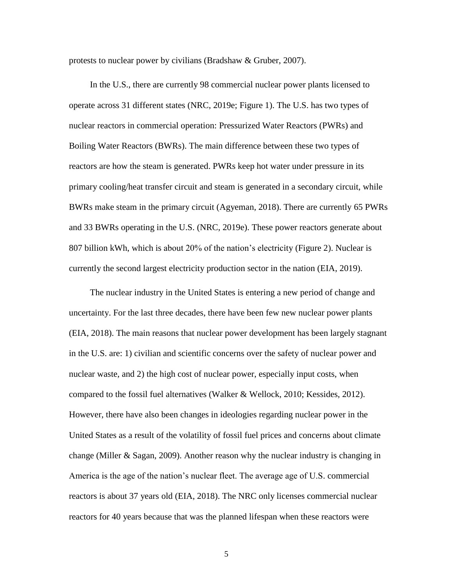protests to nuclear power by civilians (Bradshaw & Gruber, 2007).

In the U.S., there are currently 98 commercial nuclear power plants licensed to operate across 31 different states (NRC, 2019e; Figure 1). The U.S. has two types of nuclear reactors in commercial operation: Pressurized Water Reactors (PWRs) and Boiling Water Reactors (BWRs). The main difference between these two types of reactors are how the steam is generated. PWRs keep hot water under pressure in its primary cooling/heat transfer circuit and steam is generated in a secondary circuit, while BWRs make steam in the primary circuit (Agyeman, 2018). There are currently 65 PWRs and 33 BWRs operating in the U.S. (NRC, 2019e). These power reactors generate about 807 billion kWh, which is about 20% of the nation's electricity (Figure 2). Nuclear is currently the second largest electricity production sector in the nation (EIA, 2019).

The nuclear industry in the United States is entering a new period of change and uncertainty. For the last three decades, there have been few new nuclear power plants (EIA, 2018). The main reasons that nuclear power development has been largely stagnant in the U.S. are: 1) civilian and scientific concerns over the safety of nuclear power and nuclear waste, and 2) the high cost of nuclear power, especially input costs, when compared to the fossil fuel alternatives (Walker & Wellock, 2010; Kessides, 2012). However, there have also been changes in ideologies regarding nuclear power in the United States as a result of the volatility of fossil fuel prices and concerns about climate change (Miller & Sagan, 2009). Another reason why the nuclear industry is changing in America is the age of the nation's nuclear fleet. The average age of U.S. commercial reactors is about 37 years old (EIA, 2018). The NRC only licenses commercial nuclear reactors for 40 years because that was the planned lifespan when these reactors were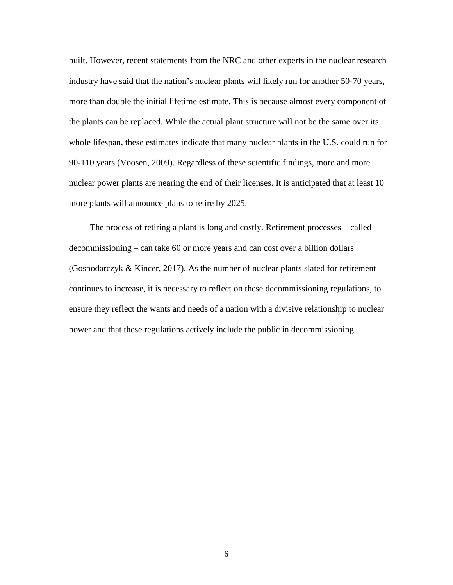built. However, recent statements from the NRC and other experts in the nuclear research industry have said that the nation's nuclear plants will likely run for another 50-70 years, more than double the initial lifetime estimate. This is because almost every component of the plants can be replaced. While the actual plant structure will not be the same over its whole lifespan, these estimates indicate that many nuclear plants in the U.S. could run for 90-110 years (Voosen, 2009). Regardless of these scientific findings, more and more nuclear power plants are nearing the end of their licenses. It is anticipated that at least 10 more plants will announce plans to retire by 2025.

The process of retiring a plant is long and costly. Retirement processes – called decommissioning – can take 60 or more years and can cost over a billion dollars (Gospodarczyk & Kincer, 2017). As the number of nuclear plants slated for retirement continues to increase, it is necessary to reflect on these decommissioning regulations, to ensure they reflect the wants and needs of a nation with a divisive relationship to nuclear power and that these regulations actively include the public in decommissioning.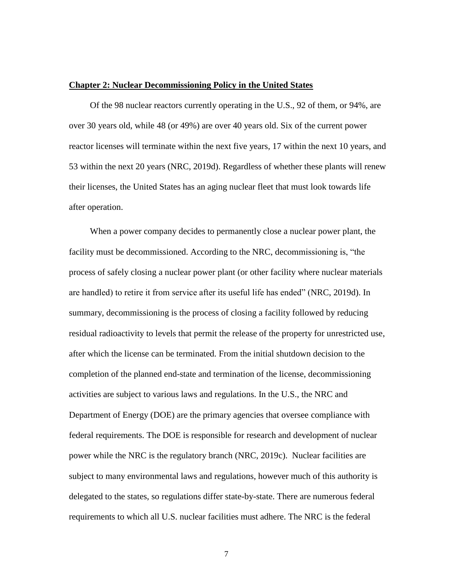#### **Chapter 2: Nuclear Decommissioning Policy in the United States**

Of the 98 nuclear reactors currently operating in the U.S., 92 of them, or 94%, are over 30 years old, while 48 (or 49%) are over 40 years old. Six of the current power reactor licenses will terminate within the next five years, 17 within the next 10 years, and 53 within the next 20 years (NRC, 2019d). Regardless of whether these plants will renew their licenses, the United States has an aging nuclear fleet that must look towards life after operation.

When a power company decides to permanently close a nuclear power plant, the facility must be decommissioned. According to the NRC, decommissioning is, "the process of safely closing a nuclear power plant (or other facility where nuclear materials are handled) to retire it from service after its useful life has ended" (NRC, 2019d). In summary, decommissioning is the process of closing a facility followed by reducing residual radioactivity to levels that permit the release of the property for unrestricted use, after which the license can be terminated. From the initial shutdown decision to the completion of the planned end-state and termination of the license, decommissioning activities are subject to various laws and regulations. In the U.S., the NRC and Department of Energy (DOE) are the primary agencies that oversee compliance with federal requirements. The DOE is responsible for research and development of nuclear power while the NRC is the regulatory branch (NRC, 2019c). Nuclear facilities are subject to many environmental laws and regulations, however much of this authority is delegated to the states, so regulations differ state-by-state. There are numerous federal requirements to which all U.S. nuclear facilities must adhere. The NRC is the federal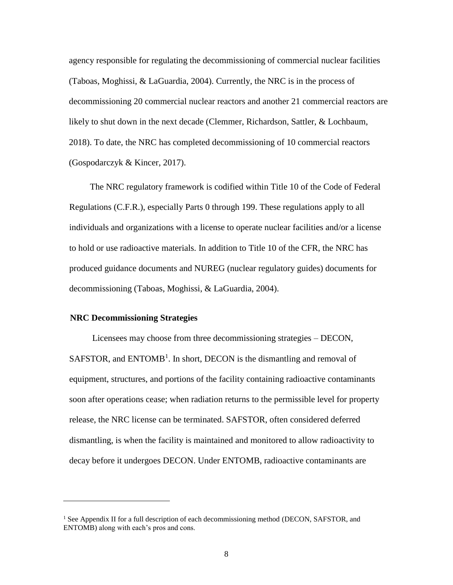agency responsible for regulating the decommissioning of commercial nuclear facilities (Taboas, Moghissi, & LaGuardia, 2004). Currently, the NRC is in the process of decommissioning 20 commercial nuclear reactors and another 21 commercial reactors are likely to shut down in the next decade (Clemmer, Richardson, Sattler, & Lochbaum, 2018). To date, the NRC has completed decommissioning of 10 commercial reactors (Gospodarczyk & Kincer, 2017).

The NRC regulatory framework is codified within Title 10 of the Code of Federal Regulations (C.F.R.), especially Parts 0 through 199. These regulations apply to all individuals and organizations with a license to operate nuclear facilities and/or a license to hold or use radioactive materials. In addition to Title 10 of the CFR, the NRC has produced guidance documents and NUREG (nuclear regulatory guides) documents for decommissioning (Taboas, Moghissi, & LaGuardia, 2004).

#### **NRC Decommissioning Strategies**

j

Licensees may choose from three decommissioning strategies – DECON, SAFSTOR, and ENTOMB<sup>1</sup>. In short, DECON is the dismantling and removal of equipment, structures, and portions of the facility containing radioactive contaminants soon after operations cease; when radiation returns to the permissible level for property release, the NRC license can be terminated. SAFSTOR, often considered deferred dismantling, is when the facility is maintained and monitored to allow radioactivity to decay before it undergoes DECON. Under ENTOMB, radioactive contaminants are

<sup>&</sup>lt;sup>1</sup> See Appendix II for a full description of each decommissioning method (DECON, SAFSTOR, and ENTOMB) along with each's pros and cons.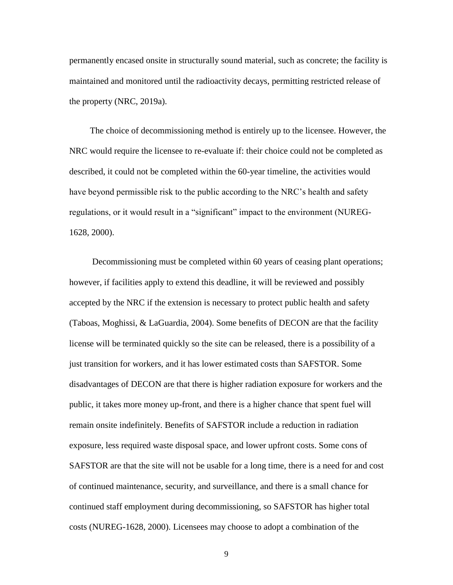permanently encased onsite in structurally sound material, such as concrete; the facility is maintained and monitored until the radioactivity decays, permitting restricted release of the property (NRC, 2019a).

The choice of decommissioning method is entirely up to the licensee. However, the NRC would require the licensee to re-evaluate if: their choice could not be completed as described, it could not be completed within the 60-year timeline, the activities would have beyond permissible risk to the public according to the NRC's health and safety regulations, or it would result in a "significant" impact to the environment (NUREG-1628, 2000).

Decommissioning must be completed within 60 years of ceasing plant operations; however, if facilities apply to extend this deadline, it will be reviewed and possibly accepted by the NRC if the extension is necessary to protect public health and safety (Taboas, Moghissi, & LaGuardia, 2004). Some benefits of DECON are that the facility license will be terminated quickly so the site can be released, there is a possibility of a just transition for workers, and it has lower estimated costs than SAFSTOR. Some disadvantages of DECON are that there is higher radiation exposure for workers and the public, it takes more money up-front, and there is a higher chance that spent fuel will remain onsite indefinitely. Benefits of SAFSTOR include a reduction in radiation exposure, less required waste disposal space, and lower upfront costs. Some cons of SAFSTOR are that the site will not be usable for a long time, there is a need for and cost of continued maintenance, security, and surveillance, and there is a small chance for continued staff employment during decommissioning, so SAFSTOR has higher total costs (NUREG-1628, 2000). Licensees may choose to adopt a combination of the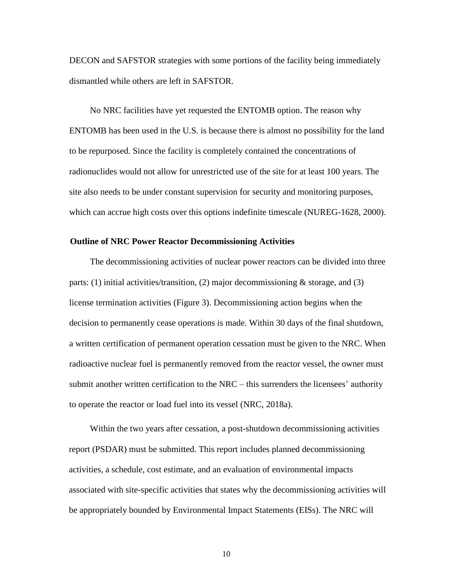DECON and SAFSTOR strategies with some portions of the facility being immediately dismantled while others are left in SAFSTOR.

No NRC facilities have yet requested the ENTOMB option. The reason why ENTOMB has been used in the U.S. is because there is almost no possibility for the land to be repurposed. Since the facility is completely contained the concentrations of radionuclides would not allow for unrestricted use of the site for at least 100 years. The site also needs to be under constant supervision for security and monitoring purposes, which can accrue high costs over this options indefinite timescale (NUREG-1628, 2000).

#### **Outline of NRC Power Reactor Decommissioning Activities**

The decommissioning activities of nuclear power reactors can be divided into three parts: (1) initial activities/transition, (2) major decommissioning  $\&$  storage, and (3) license termination activities (Figure 3). Decommissioning action begins when the decision to permanently cease operations is made. Within 30 days of the final shutdown, a written certification of permanent operation cessation must be given to the NRC. When radioactive nuclear fuel is permanently removed from the reactor vessel, the owner must submit another written certification to the NRC – this surrenders the licensees' authority to operate the reactor or load fuel into its vessel (NRC, 2018a).

Within the two years after cessation, a post-shutdown decommissioning activities report (PSDAR) must be submitted. This report includes planned decommissioning activities, a schedule, cost estimate, and an evaluation of environmental impacts associated with site-specific activities that states why the decommissioning activities will be appropriately bounded by Environmental Impact Statements (EISs). The NRC will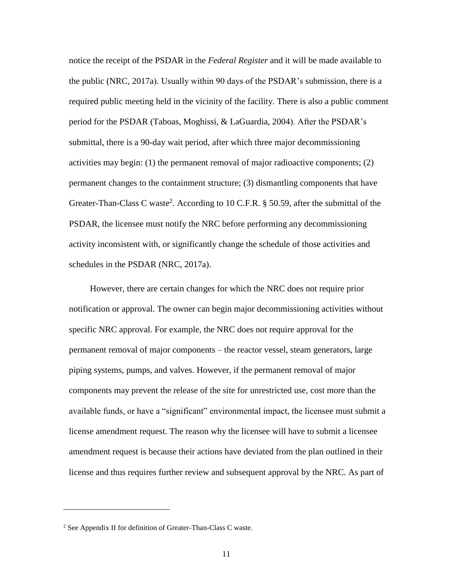notice the receipt of the PSDAR in the *Federal Register* and it will be made available to the public (NRC, 2017a). Usually within 90 days of the PSDAR's submission, there is a required public meeting held in the vicinity of the facility. There is also a public comment period for the PSDAR (Taboas, Moghissi, & LaGuardia, 2004). After the PSDAR's submittal, there is a 90-day wait period, after which three major decommissioning activities may begin: (1) the permanent removal of major radioactive components; (2) permanent changes to the containment structure; (3) dismantling components that have Greater-Than-Class C waste<sup>2</sup>. According to 10 C.F.R.  $\S$  50.59, after the submittal of the PSDAR, the licensee must notify the NRC before performing any decommissioning activity inconsistent with, or significantly change the schedule of those activities and schedules in the PSDAR (NRC, 2017a).

However, there are certain changes for which the NRC does not require prior notification or approval. The owner can begin major decommissioning activities without specific NRC approval. For example, the NRC does not require approval for the permanent removal of major components – the reactor vessel, steam generators, large piping systems, pumps, and valves. However, if the permanent removal of major components may prevent the release of the site for unrestricted use, cost more than the available funds, or have a "significant" environmental impact, the licensee must submit a license amendment request. The reason why the licensee will have to submit a licensee amendment request is because their actions have deviated from the plan outlined in their license and thus requires further review and subsequent approval by the NRC. As part of

 $\overline{a}$ 

<sup>2</sup> See Appendix II for definition of Greater-Than-Class C waste.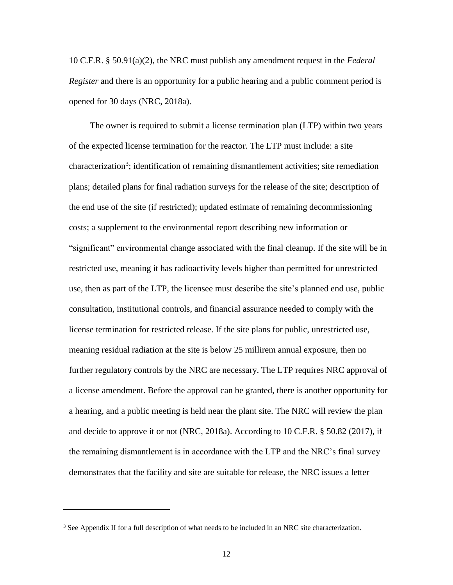10 C.F.R. § 50.91(a)(2), the NRC must publish any amendment request in the *Federal Register* and there is an opportunity for a public hearing and a public comment period is opened for 30 days (NRC, 2018a).

The owner is required to submit a license termination plan (LTP) within two years of the expected license termination for the reactor. The LTP must include: a site characterization<sup>3</sup>; identification of remaining dismantlement activities; site remediation plans; detailed plans for final radiation surveys for the release of the site; description of the end use of the site (if restricted); updated estimate of remaining decommissioning costs; a supplement to the environmental report describing new information or "significant" environmental change associated with the final cleanup. If the site will be in restricted use, meaning it has radioactivity levels higher than permitted for unrestricted use, then as part of the LTP, the licensee must describe the site's planned end use, public consultation, institutional controls, and financial assurance needed to comply with the license termination for restricted release. If the site plans for public, unrestricted use, meaning residual radiation at the site is below 25 millirem annual exposure, then no further regulatory controls by the NRC are necessary. The LTP requires NRC approval of a license amendment. Before the approval can be granted, there is another opportunity for a hearing, and a public meeting is held near the plant site. The NRC will review the plan and decide to approve it or not (NRC, 2018a). According to 10 C.F.R. § 50.82 (2017), if the remaining dismantlement is in accordance with the LTP and the NRC's final survey demonstrates that the facility and site are suitable for release, the NRC issues a letter

 $\overline{a}$ 

<sup>&</sup>lt;sup>3</sup> See Appendix II for a full description of what needs to be included in an NRC site characterization.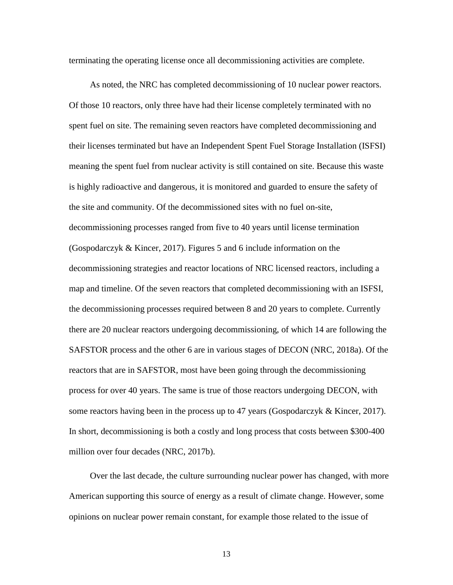terminating the operating license once all decommissioning activities are complete.

As noted, the NRC has completed decommissioning of 10 nuclear power reactors. Of those 10 reactors, only three have had their license completely terminated with no spent fuel on site. The remaining seven reactors have completed decommissioning and their licenses terminated but have an Independent Spent Fuel Storage Installation (ISFSI) meaning the spent fuel from nuclear activity is still contained on site. Because this waste is highly radioactive and dangerous, it is monitored and guarded to ensure the safety of the site and community. Of the decommissioned sites with no fuel on-site, decommissioning processes ranged from five to 40 years until license termination (Gospodarczyk & Kincer, 2017). Figures 5 and 6 include information on the decommissioning strategies and reactor locations of NRC licensed reactors, including a map and timeline. Of the seven reactors that completed decommissioning with an ISFSI, the decommissioning processes required between 8 and 20 years to complete. Currently there are 20 nuclear reactors undergoing decommissioning, of which 14 are following the SAFSTOR process and the other 6 are in various stages of DECON (NRC, 2018a). Of the reactors that are in SAFSTOR, most have been going through the decommissioning process for over 40 years. The same is true of those reactors undergoing DECON, with some reactors having been in the process up to 47 years (Gospodarczyk & Kincer, 2017). In short, decommissioning is both a costly and long process that costs between \$300-400 million over four decades (NRC, 2017b).

Over the last decade, the culture surrounding nuclear power has changed, with more American supporting this source of energy as a result of climate change. However, some opinions on nuclear power remain constant, for example those related to the issue of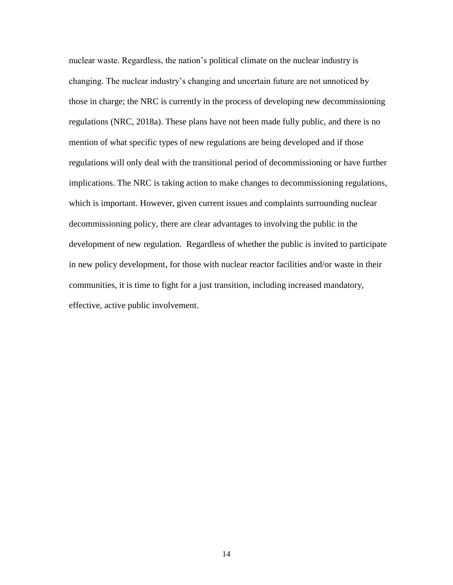nuclear waste. Regardless, the nation's political climate on the nuclear industry is changing. The nuclear industry's changing and uncertain future are not unnoticed by those in charge; the NRC is currently in the process of developing new decommissioning regulations (NRC, 2018a). These plans have not been made fully public, and there is no mention of what specific types of new regulations are being developed and if those regulations will only deal with the transitional period of decommissioning or have further implications. The NRC is taking action to make changes to decommissioning regulations, which is important. However, given current issues and complaints surrounding nuclear decommissioning policy, there are clear advantages to involving the public in the development of new regulation. Regardless of whether the public is invited to participate in new policy development, for those with nuclear reactor facilities and/or waste in their communities, it is time to fight for a just transition, including increased mandatory, effective, active public involvement.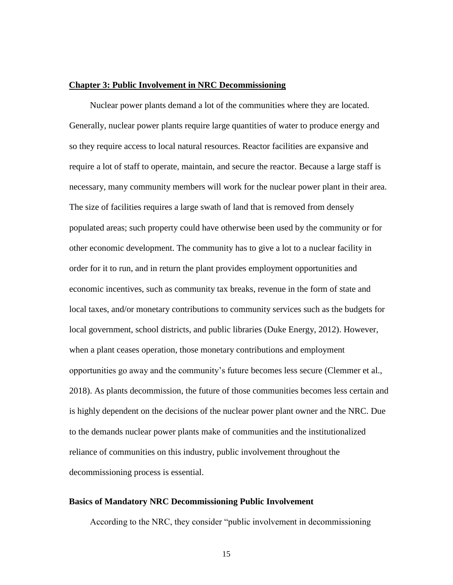#### **Chapter 3: Public Involvement in NRC Decommissioning**

Nuclear power plants demand a lot of the communities where they are located. Generally, nuclear power plants require large quantities of water to produce energy and so they require access to local natural resources. Reactor facilities are expansive and require a lot of staff to operate, maintain, and secure the reactor. Because a large staff is necessary, many community members will work for the nuclear power plant in their area. The size of facilities requires a large swath of land that is removed from densely populated areas; such property could have otherwise been used by the community or for other economic development. The community has to give a lot to a nuclear facility in order for it to run, and in return the plant provides employment opportunities and economic incentives, such as community tax breaks, revenue in the form of state and local taxes, and/or monetary contributions to community services such as the budgets for local government, school districts, and public libraries (Duke Energy, 2012). However, when a plant ceases operation, those monetary contributions and employment opportunities go away and the community's future becomes less secure (Clemmer et al., 2018). As plants decommission, the future of those communities becomes less certain and is highly dependent on the decisions of the nuclear power plant owner and the NRC. Due to the demands nuclear power plants make of communities and the institutionalized reliance of communities on this industry, public involvement throughout the decommissioning process is essential.

#### **Basics of Mandatory NRC Decommissioning Public Involvement**

According to the NRC, they consider "public involvement in decommissioning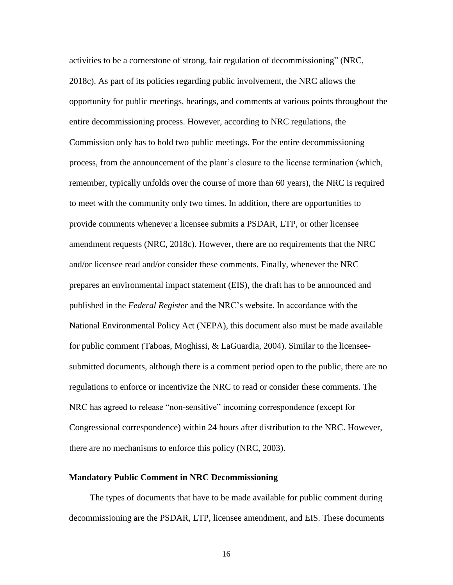activities to be a cornerstone of strong, fair regulation of decommissioning" (NRC, 2018c). As part of its policies regarding public involvement, the NRC allows the opportunity for public meetings, hearings, and comments at various points throughout the entire decommissioning process. However, according to NRC regulations, the Commission only has to hold two public meetings. For the entire decommissioning process, from the announcement of the plant's closure to the license termination (which, remember, typically unfolds over the course of more than 60 years), the NRC is required to meet with the community only two times. In addition, there are opportunities to provide comments whenever a licensee submits a PSDAR, LTP, or other licensee amendment requests (NRC, 2018c). However, there are no requirements that the NRC and/or licensee read and/or consider these comments. Finally, whenever the NRC prepares an environmental impact statement (EIS), the draft has to be announced and published in the *Federal Register* and the NRC's website. In accordance with the National Environmental Policy Act (NEPA), this document also must be made available for public comment (Taboas, Moghissi, & LaGuardia, 2004). Similar to the licenseesubmitted documents, although there is a comment period open to the public, there are no regulations to enforce or incentivize the NRC to read or consider these comments. The NRC has agreed to release "non-sensitive" incoming correspondence (except for Congressional correspondence) within 24 hours after distribution to the NRC. However, there are no mechanisms to enforce this policy (NRC, 2003).

#### **Mandatory Public Comment in NRC Decommissioning**

The types of documents that have to be made available for public comment during decommissioning are the PSDAR, LTP, licensee amendment, and EIS. These documents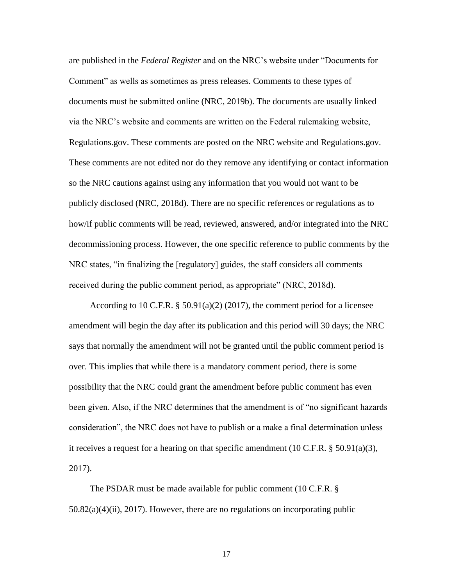are published in the *Federal Register* and on the NRC's website under "Documents for Comment" as wells as sometimes as press releases. Comments to these types of documents must be submitted online (NRC, 2019b). The documents are usually linked via the NRC's website and comments are written on the Federal rulemaking website, Regulations.gov. These comments are posted on the NRC website and Regulations.gov. These comments are not edited nor do they remove any identifying or contact information so the NRC cautions against using any information that you would not want to be publicly disclosed (NRC, 2018d). There are no specific references or regulations as to how/if public comments will be read, reviewed, answered, and/or integrated into the NRC decommissioning process. However, the one specific reference to public comments by the NRC states, "in finalizing the [regulatory] guides, the staff considers all comments received during the public comment period, as appropriate" (NRC, 2018d).

According to 10 C.F.R.  $\S$  50.91(a)(2) (2017), the comment period for a licensee amendment will begin the day after its publication and this period will 30 days; the NRC says that normally the amendment will not be granted until the public comment period is over. This implies that while there is a mandatory comment period, there is some possibility that the NRC could grant the amendment before public comment has even been given. Also, if the NRC determines that the amendment is of "no significant hazards consideration", the NRC does not have to publish or a make a final determination unless it receives a request for a hearing on that specific amendment (10 C.F.R. § 50.91(a)(3), 2017).

The PSDAR must be made available for public comment (10 C.F.R. §  $50.82(a)(4)(ii)$ ,  $2017$ ). However, there are no regulations on incorporating public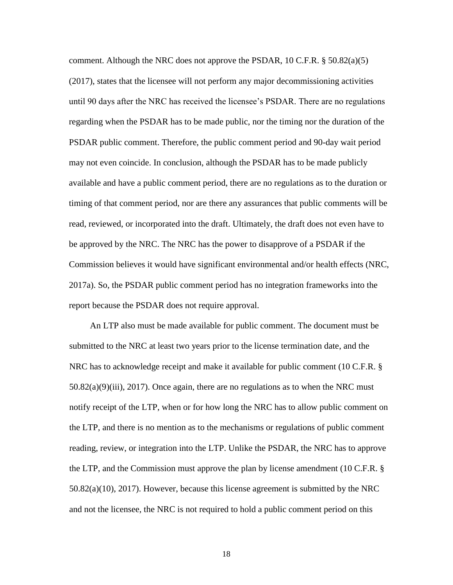comment. Although the NRC does not approve the PSDAR, 10 C.F.R. § 50.82(a)(5) (2017), states that the licensee will not perform any major decommissioning activities until 90 days after the NRC has received the licensee's PSDAR. There are no regulations regarding when the PSDAR has to be made public, nor the timing nor the duration of the PSDAR public comment. Therefore, the public comment period and 90-day wait period may not even coincide. In conclusion, although the PSDAR has to be made publicly available and have a public comment period, there are no regulations as to the duration or timing of that comment period, nor are there any assurances that public comments will be read, reviewed, or incorporated into the draft. Ultimately, the draft does not even have to be approved by the NRC. The NRC has the power to disapprove of a PSDAR if the Commission believes it would have significant environmental and/or health effects (NRC, 2017a). So, the PSDAR public comment period has no integration frameworks into the report because the PSDAR does not require approval.

An LTP also must be made available for public comment. The document must be submitted to the NRC at least two years prior to the license termination date, and the NRC has to acknowledge receipt and make it available for public comment (10 C.F.R. §  $50.82(a)(9)(iii)$ ,  $2017$ ). Once again, there are no regulations as to when the NRC must notify receipt of the LTP, when or for how long the NRC has to allow public comment on the LTP, and there is no mention as to the mechanisms or regulations of public comment reading, review, or integration into the LTP. Unlike the PSDAR, the NRC has to approve the LTP, and the Commission must approve the plan by license amendment (10 C.F.R. § 50.82(a)(10), 2017). However, because this license agreement is submitted by the NRC and not the licensee, the NRC is not required to hold a public comment period on this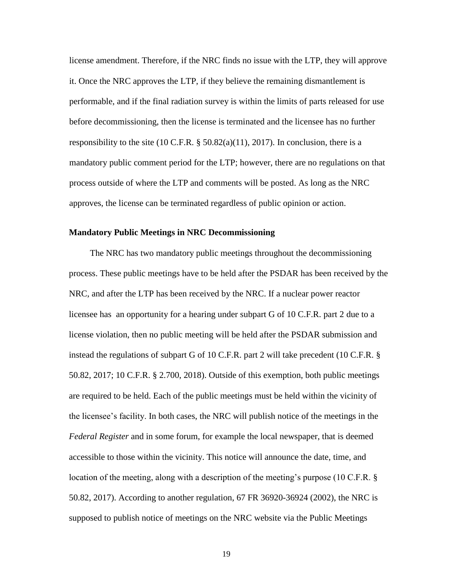license amendment. Therefore, if the NRC finds no issue with the LTP, they will approve it. Once the NRC approves the LTP, if they believe the remaining dismantlement is performable, and if the final radiation survey is within the limits of parts released for use before decommissioning, then the license is terminated and the licensee has no further responsibility to the site (10 C.F.R.  $\S$  50.82(a)(11), 2017). In conclusion, there is a mandatory public comment period for the LTP; however, there are no regulations on that process outside of where the LTP and comments will be posted. As long as the NRC approves, the license can be terminated regardless of public opinion or action.

#### **Mandatory Public Meetings in NRC Decommissioning**

The NRC has two mandatory public meetings throughout the decommissioning process. These public meetings have to be held after the PSDAR has been received by the NRC, and after the LTP has been received by the NRC. If a nuclear power reactor licensee has an opportunity for a hearing under subpart G of 10 C.F.R. part 2 due to a license violation, then no public meeting will be held after the PSDAR submission and instead the regulations of subpart G of 10 C.F.R. part 2 will take precedent (10 C.F.R. § 50.82, 2017; 10 C.F.R. § 2.700, 2018). Outside of this exemption, both public meetings are required to be held. Each of the public meetings must be held within the vicinity of the licensee's facility. In both cases, the NRC will publish notice of the meetings in the *Federal Register* and in some forum, for example the local newspaper, that is deemed accessible to those within the vicinity. This notice will announce the date, time, and location of the meeting, along with a description of the meeting's purpose (10 C.F.R. § 50.82, 2017). According to another regulation, 67 FR 36920-36924 (2002), the NRC is supposed to publish notice of meetings on the NRC website via the Public Meetings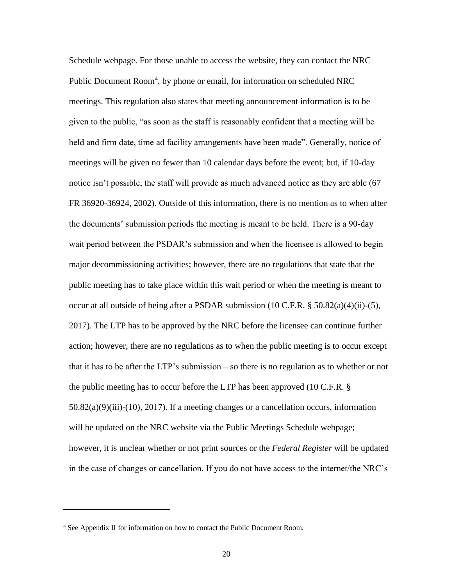Schedule webpage. For those unable to access the website, they can contact the NRC Public Document Room<sup>4</sup>, by phone or email, for information on scheduled NRC meetings. This regulation also states that meeting announcement information is to be given to the public, "as soon as the staff is reasonably confident that a meeting will be held and firm date, time ad facility arrangements have been made". Generally, notice of meetings will be given no fewer than 10 calendar days before the event; but, if 10-day notice isn't possible, the staff will provide as much advanced notice as they are able (67 FR 36920-36924, 2002). Outside of this information, there is no mention as to when after the documents' submission periods the meeting is meant to be held. There is a 90-day wait period between the PSDAR's submission and when the licensee is allowed to begin major decommissioning activities; however, there are no regulations that state that the public meeting has to take place within this wait period or when the meeting is meant to occur at all outside of being after a PSDAR submission (10 C.F.R. § 50.82(a)(4)(ii)-(5), 2017). The LTP has to be approved by the NRC before the licensee can continue further action; however, there are no regulations as to when the public meeting is to occur except that it has to be after the LTP's submission – so there is no regulation as to whether or not the public meeting has to occur before the LTP has been approved (10 C.F.R. § 50.82(a)(9)(iii)-(10), 2017). If a meeting changes or a cancellation occurs, information will be updated on the NRC website via the Public Meetings Schedule webpage; however, it is unclear whether or not print sources or the *Federal Register* will be updated in the case of changes or cancellation. If you do not have access to the internet/the NRC's

 $\overline{a}$ 

<sup>4</sup> See Appendix II for information on how to contact the Public Document Room.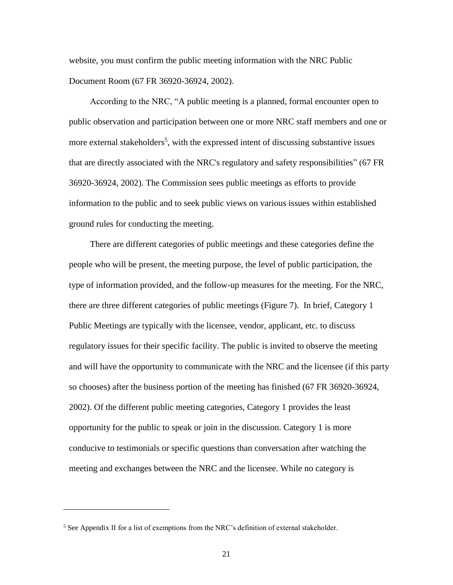website, you must confirm the public meeting information with the NRC Public Document Room (67 FR 36920-36924, 2002).

According to the NRC, "A public meeting is a planned, formal encounter open to public observation and participation between one or more NRC staff members and one or more external stakeholders<sup>5</sup>, with the expressed intent of discussing substantive issues that are directly associated with the NRC's regulatory and safety responsibilities" (67 FR 36920-36924, 2002). The Commission sees public meetings as efforts to provide information to the public and to seek public views on various issues within established ground rules for conducting the meeting.

There are different categories of public meetings and these categories define the people who will be present, the meeting purpose, the level of public participation, the type of information provided, and the follow-up measures for the meeting. For the NRC, there are three different categories of public meetings (Figure 7). In brief, Category 1 Public Meetings are typically with the licensee, vendor, applicant, etc. to discuss regulatory issues for their specific facility. The public is invited to observe the meeting and will have the opportunity to communicate with the NRC and the licensee (if this party so chooses) after the business portion of the meeting has finished (67 FR 36920-36924, 2002). Of the different public meeting categories, Category 1 provides the least opportunity for the public to speak or join in the discussion. Category 1 is more conducive to testimonials or specific questions than conversation after watching the meeting and exchanges between the NRC and the licensee. While no category is

 $\overline{a}$ 

<sup>&</sup>lt;sup>5</sup> See Appendix II for a list of exemptions from the NRC's definition of external stakeholder.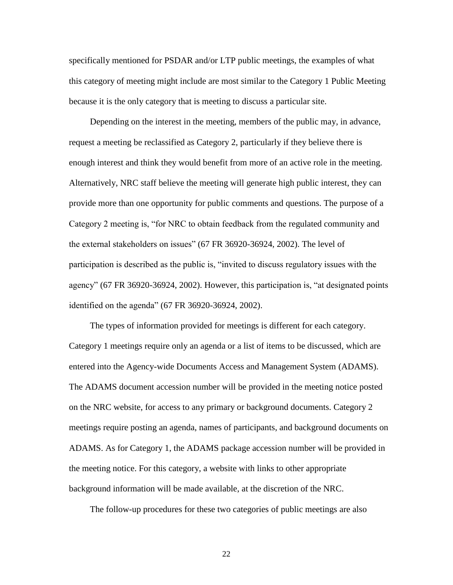specifically mentioned for PSDAR and/or LTP public meetings, the examples of what this category of meeting might include are most similar to the Category 1 Public Meeting because it is the only category that is meeting to discuss a particular site.

Depending on the interest in the meeting, members of the public may, in advance, request a meeting be reclassified as Category 2, particularly if they believe there is enough interest and think they would benefit from more of an active role in the meeting. Alternatively, NRC staff believe the meeting will generate high public interest, they can provide more than one opportunity for public comments and questions. The purpose of a Category 2 meeting is, "for NRC to obtain feedback from the regulated community and the external stakeholders on issues" (67 FR 36920-36924, 2002). The level of participation is described as the public is, "invited to discuss regulatory issues with the agency" (67 FR 36920-36924, 2002). However, this participation is, "at designated points identified on the agenda" (67 FR 36920-36924, 2002).

The types of information provided for meetings is different for each category. Category 1 meetings require only an agenda or a list of items to be discussed, which are entered into the Agency-wide Documents Access and Management System (ADAMS). The ADAMS document accession number will be provided in the meeting notice posted on the NRC website, for access to any primary or background documents. Category 2 meetings require posting an agenda, names of participants, and background documents on ADAMS. As for Category 1, the ADAMS package accession number will be provided in the meeting notice. For this category, a website with links to other appropriate background information will be made available, at the discretion of the NRC.

The follow-up procedures for these two categories of public meetings are also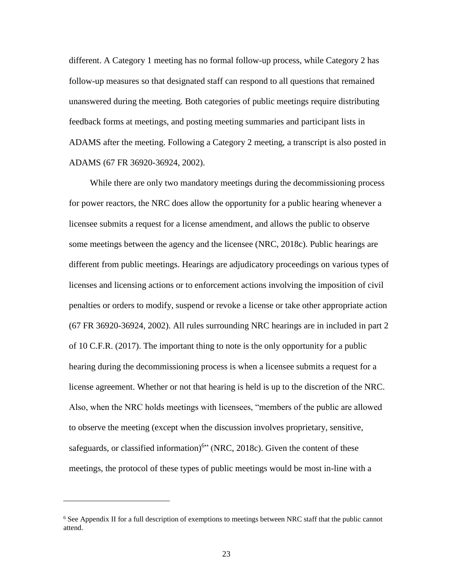different. A Category 1 meeting has no formal follow-up process, while Category 2 has follow-up measures so that designated staff can respond to all questions that remained unanswered during the meeting. Both categories of public meetings require distributing feedback forms at meetings, and posting meeting summaries and participant lists in ADAMS after the meeting. Following a Category 2 meeting, a transcript is also posted in ADAMS (67 FR 36920-36924, 2002).

While there are only two mandatory meetings during the decommissioning process for power reactors, the NRC does allow the opportunity for a public hearing whenever a licensee submits a request for a license amendment, and allows the public to observe some meetings between the agency and the licensee (NRC, 2018c). Public hearings are different from public meetings. Hearings are adjudicatory proceedings on various types of licenses and licensing actions or to enforcement actions involving the imposition of civil penalties or orders to modify, suspend or revoke a license or take other appropriate action (67 FR 36920-36924, 2002). All rules surrounding NRC hearings are in included in part 2 of 10 C.F.R. (2017). The important thing to note is the only opportunity for a public hearing during the decommissioning process is when a licensee submits a request for a license agreement. Whether or not that hearing is held is up to the discretion of the NRC. Also, when the NRC holds meetings with licensees, "members of the public are allowed to observe the meeting (except when the discussion involves proprietary, sensitive, safeguards, or classified information)<sup>6</sup>" (NRC, 2018c). Given the content of these meetings, the protocol of these types of public meetings would be most in-line with a

j

<sup>6</sup> See Appendix II for a full description of exemptions to meetings between NRC staff that the public cannot attend.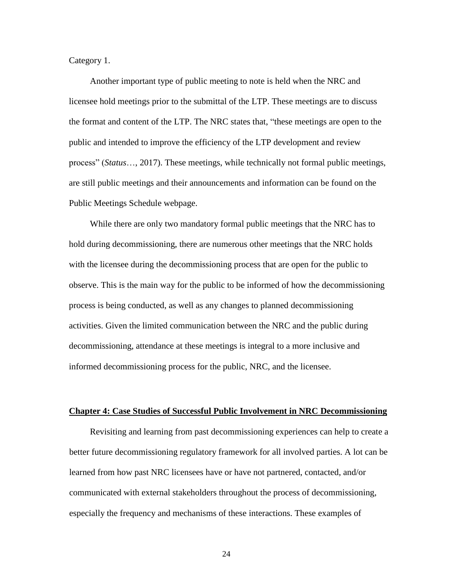Category 1.

Another important type of public meeting to note is held when the NRC and licensee hold meetings prior to the submittal of the LTP. These meetings are to discuss the format and content of the LTP. The NRC states that, "these meetings are open to the public and intended to improve the efficiency of the LTP development and review process" (*Status*…, 2017). These meetings, while technically not formal public meetings, are still public meetings and their announcements and information can be found on the Public Meetings Schedule webpage.

While there are only two mandatory formal public meetings that the NRC has to hold during decommissioning, there are numerous other meetings that the NRC holds with the licensee during the decommissioning process that are open for the public to observe. This is the main way for the public to be informed of how the decommissioning process is being conducted, as well as any changes to planned decommissioning activities. Given the limited communication between the NRC and the public during decommissioning, attendance at these meetings is integral to a more inclusive and informed decommissioning process for the public, NRC, and the licensee.

#### **Chapter 4: Case Studies of Successful Public Involvement in NRC Decommissioning**

Revisiting and learning from past decommissioning experiences can help to create a better future decommissioning regulatory framework for all involved parties. A lot can be learned from how past NRC licensees have or have not partnered, contacted, and/or communicated with external stakeholders throughout the process of decommissioning, especially the frequency and mechanisms of these interactions. These examples of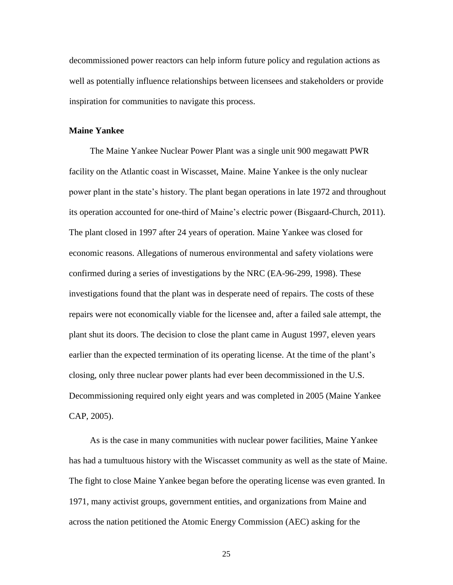decommissioned power reactors can help inform future policy and regulation actions as well as potentially influence relationships between licensees and stakeholders or provide inspiration for communities to navigate this process.

#### **Maine Yankee**

The Maine Yankee Nuclear Power Plant was a single unit 900 megawatt PWR facility on the Atlantic coast in Wiscasset, Maine. Maine Yankee is the only nuclear power plant in the state's history. The plant began operations in late 1972 and throughout its operation accounted for one-third of Maine's electric power (Bisgaard-Church, 2011). The plant closed in 1997 after 24 years of operation. Maine Yankee was closed for economic reasons. Allegations of numerous environmental and safety violations were confirmed during a series of investigations by the NRC (EA-96-299, 1998). These investigations found that the plant was in desperate need of repairs. The costs of these repairs were not economically viable for the licensee and, after a failed sale attempt, the plant shut its doors. The decision to close the plant came in August 1997, eleven years earlier than the expected termination of its operating license. At the time of the plant's closing, only three nuclear power plants had ever been decommissioned in the U.S. Decommissioning required only eight years and was completed in 2005 (Maine Yankee CAP, 2005).

As is the case in many communities with nuclear power facilities, Maine Yankee has had a tumultuous history with the Wiscasset community as well as the state of Maine. The fight to close Maine Yankee began before the operating license was even granted. In 1971, many activist groups, government entities, and organizations from Maine and across the nation petitioned the Atomic Energy Commission (AEC) asking for the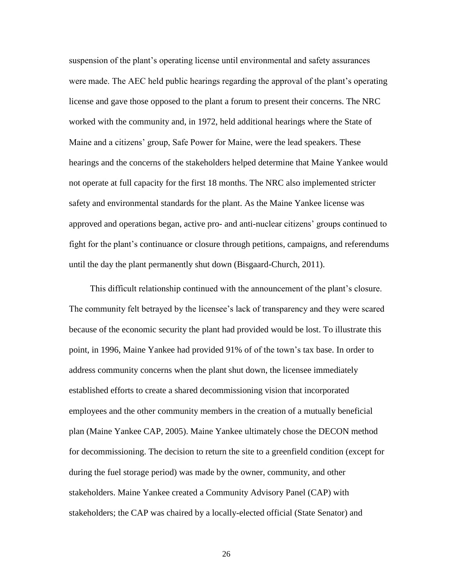suspension of the plant's operating license until environmental and safety assurances were made. The AEC held public hearings regarding the approval of the plant's operating license and gave those opposed to the plant a forum to present their concerns. The NRC worked with the community and, in 1972, held additional hearings where the State of Maine and a citizens' group, Safe Power for Maine, were the lead speakers. These hearings and the concerns of the stakeholders helped determine that Maine Yankee would not operate at full capacity for the first 18 months. The NRC also implemented stricter safety and environmental standards for the plant. As the Maine Yankee license was approved and operations began, active pro- and anti-nuclear citizens' groups continued to fight for the plant's continuance or closure through petitions, campaigns, and referendums until the day the plant permanently shut down (Bisgaard-Church, 2011).

This difficult relationship continued with the announcement of the plant's closure. The community felt betrayed by the licensee's lack of transparency and they were scared because of the economic security the plant had provided would be lost. To illustrate this point, in 1996, Maine Yankee had provided 91% of of the town's tax base. In order to address community concerns when the plant shut down, the licensee immediately established efforts to create a shared decommissioning vision that incorporated employees and the other community members in the creation of a mutually beneficial plan (Maine Yankee CAP, 2005). Maine Yankee ultimately chose the DECON method for decommissioning. The decision to return the site to a greenfield condition (except for during the fuel storage period) was made by the owner, community, and other stakeholders. Maine Yankee created a Community Advisory Panel (CAP) with stakeholders; the CAP was chaired by a locally-elected official (State Senator) and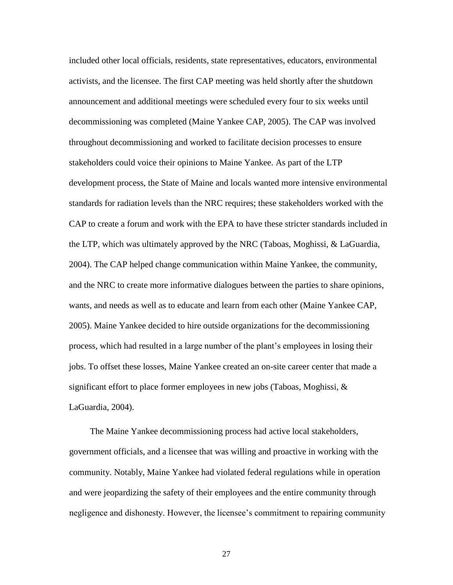included other local officials, residents, state representatives, educators, environmental activists, and the licensee. The first CAP meeting was held shortly after the shutdown announcement and additional meetings were scheduled every four to six weeks until decommissioning was completed (Maine Yankee CAP, 2005). The CAP was involved throughout decommissioning and worked to facilitate decision processes to ensure stakeholders could voice their opinions to Maine Yankee. As part of the LTP development process, the State of Maine and locals wanted more intensive environmental standards for radiation levels than the NRC requires; these stakeholders worked with the CAP to create a forum and work with the EPA to have these stricter standards included in the LTP, which was ultimately approved by the NRC (Taboas, Moghissi, & LaGuardia, 2004). The CAP helped change communication within Maine Yankee, the community, and the NRC to create more informative dialogues between the parties to share opinions, wants, and needs as well as to educate and learn from each other (Maine Yankee CAP, 2005). Maine Yankee decided to hire outside organizations for the decommissioning process, which had resulted in a large number of the plant's employees in losing their jobs. To offset these losses, Maine Yankee created an on-site career center that made a significant effort to place former employees in new jobs (Taboas, Moghissi,  $\&$ LaGuardia, 2004).

The Maine Yankee decommissioning process had active local stakeholders, government officials, and a licensee that was willing and proactive in working with the community. Notably, Maine Yankee had violated federal regulations while in operation and were jeopardizing the safety of their employees and the entire community through negligence and dishonesty. However, the licensee's commitment to repairing community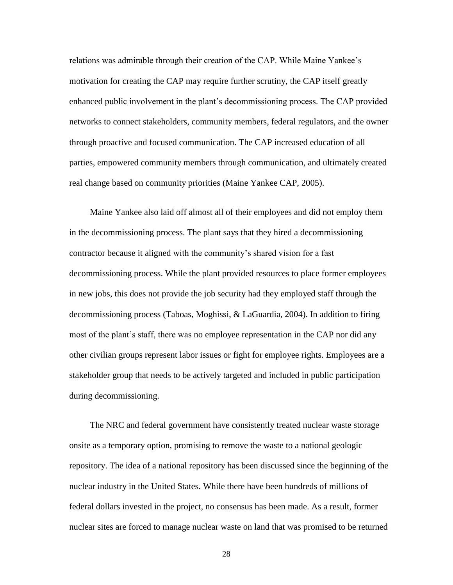relations was admirable through their creation of the CAP. While Maine Yankee's motivation for creating the CAP may require further scrutiny, the CAP itself greatly enhanced public involvement in the plant's decommissioning process. The CAP provided networks to connect stakeholders, community members, federal regulators, and the owner through proactive and focused communication. The CAP increased education of all parties, empowered community members through communication, and ultimately created real change based on community priorities (Maine Yankee CAP, 2005).

Maine Yankee also laid off almost all of their employees and did not employ them in the decommissioning process. The plant says that they hired a decommissioning contractor because it aligned with the community's shared vision for a fast decommissioning process. While the plant provided resources to place former employees in new jobs, this does not provide the job security had they employed staff through the decommissioning process (Taboas, Moghissi, & LaGuardia, 2004). In addition to firing most of the plant's staff, there was no employee representation in the CAP nor did any other civilian groups represent labor issues or fight for employee rights. Employees are a stakeholder group that needs to be actively targeted and included in public participation during decommissioning.

The NRC and federal government have consistently treated nuclear waste storage onsite as a temporary option, promising to remove the waste to a national geologic repository. The idea of a national repository has been discussed since the beginning of the nuclear industry in the United States. While there have been hundreds of millions of federal dollars invested in the project, no consensus has been made. As a result, former nuclear sites are forced to manage nuclear waste on land that was promised to be returned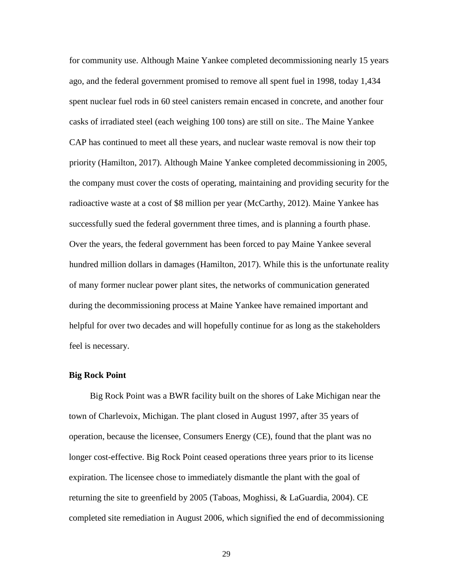for community use. Although Maine Yankee completed decommissioning nearly 15 years ago, and the federal government promised to remove all spent fuel in 1998, today 1,434 spent nuclear fuel rods in 60 steel canisters remain encased in concrete, and another four casks of irradiated steel (each weighing 100 tons) are still on site.. The Maine Yankee CAP has continued to meet all these years, and nuclear waste removal is now their top priority (Hamilton, 2017). Although Maine Yankee completed decommissioning in 2005, the company must cover the costs of operating, maintaining and providing security for the radioactive waste at a cost of \$8 million per year (McCarthy, 2012). Maine Yankee has successfully sued the federal government three times, and is planning a fourth phase. Over the years, the federal government has been forced to pay Maine Yankee several hundred million dollars in damages (Hamilton, 2017). While this is the unfortunate reality of many former nuclear power plant sites, the networks of communication generated during the decommissioning process at Maine Yankee have remained important and helpful for over two decades and will hopefully continue for as long as the stakeholders feel is necessary.

#### **Big Rock Point**

Big Rock Point was a BWR facility built on the shores of Lake Michigan near the town of Charlevoix, Michigan. The plant closed in August 1997, after 35 years of operation, because the licensee, Consumers Energy (CE), found that the plant was no longer cost-effective. Big Rock Point ceased operations three years prior to its license expiration. The licensee chose to immediately dismantle the plant with the goal of returning the site to greenfield by 2005 (Taboas, Moghissi, & LaGuardia, 2004). CE completed site remediation in August 2006, which signified the end of decommissioning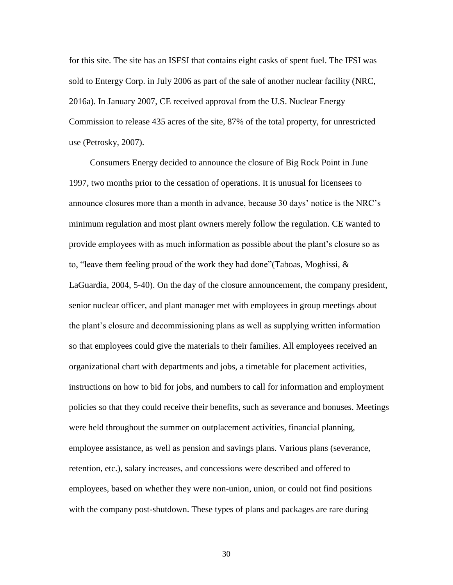for this site. The site has an ISFSI that contains eight casks of spent fuel. The IFSI was sold to Entergy Corp. in July 2006 as part of the sale of another nuclear facility (NRC, 2016a). In January 2007, CE received approval from the U.S. Nuclear Energy Commission to release 435 acres of the site, 87% of the total property, for unrestricted use (Petrosky, 2007).

Consumers Energy decided to announce the closure of Big Rock Point in June 1997, two months prior to the cessation of operations. It is unusual for licensees to announce closures more than a month in advance, because 30 days' notice is the NRC's minimum regulation and most plant owners merely follow the regulation. CE wanted to provide employees with as much information as possible about the plant's closure so as to, "leave them feeling proud of the work they had done"(Taboas, Moghissi, & LaGuardia, 2004, 5-40). On the day of the closure announcement, the company president, senior nuclear officer, and plant manager met with employees in group meetings about the plant's closure and decommissioning plans as well as supplying written information so that employees could give the materials to their families. All employees received an organizational chart with departments and jobs, a timetable for placement activities, instructions on how to bid for jobs, and numbers to call for information and employment policies so that they could receive their benefits, such as severance and bonuses. Meetings were held throughout the summer on outplacement activities, financial planning, employee assistance, as well as pension and savings plans. Various plans (severance, retention, etc.), salary increases, and concessions were described and offered to employees, based on whether they were non-union, union, or could not find positions with the company post-shutdown. These types of plans and packages are rare during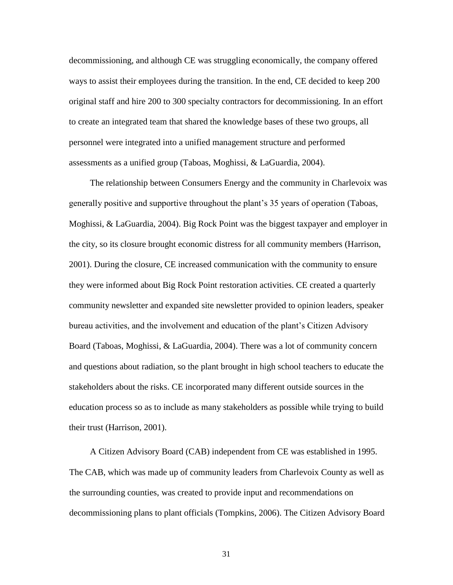decommissioning, and although CE was struggling economically, the company offered ways to assist their employees during the transition. In the end, CE decided to keep 200 original staff and hire 200 to 300 specialty contractors for decommissioning. In an effort to create an integrated team that shared the knowledge bases of these two groups, all personnel were integrated into a unified management structure and performed assessments as a unified group (Taboas, Moghissi, & LaGuardia, 2004).

The relationship between Consumers Energy and the community in Charlevoix was generally positive and supportive throughout the plant's 35 years of operation (Taboas, Moghissi, & LaGuardia, 2004). Big Rock Point was the biggest taxpayer and employer in the city, so its closure brought economic distress for all community members (Harrison, 2001). During the closure, CE increased communication with the community to ensure they were informed about Big Rock Point restoration activities. CE created a quarterly community newsletter and expanded site newsletter provided to opinion leaders, speaker bureau activities, and the involvement and education of the plant's Citizen Advisory Board (Taboas, Moghissi, & LaGuardia, 2004). There was a lot of community concern and questions about radiation, so the plant brought in high school teachers to educate the stakeholders about the risks. CE incorporated many different outside sources in the education process so as to include as many stakeholders as possible while trying to build their trust (Harrison, 2001).

A Citizen Advisory Board (CAB) independent from CE was established in 1995. The CAB, which was made up of community leaders from Charlevoix County as well as the surrounding counties, was created to provide input and recommendations on decommissioning plans to plant officials (Tompkins, 2006). The Citizen Advisory Board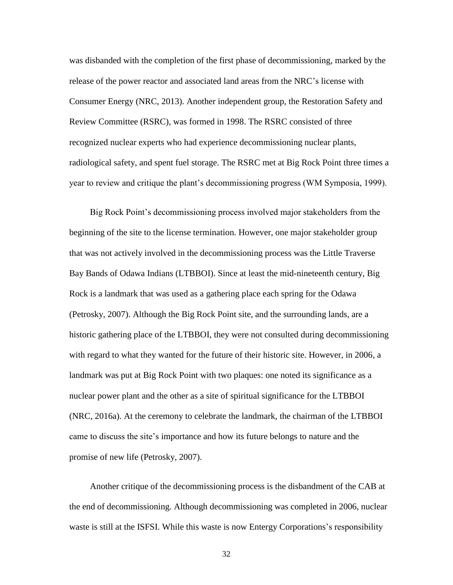was disbanded with the completion of the first phase of decommissioning, marked by the release of the power reactor and associated land areas from the NRC's license with Consumer Energy (NRC, 2013). Another independent group, the Restoration Safety and Review Committee (RSRC), was formed in 1998. The RSRC consisted of three recognized nuclear experts who had experience decommissioning nuclear plants, radiological safety, and spent fuel storage. The RSRC met at Big Rock Point three times a year to review and critique the plant's decommissioning progress (WM Symposia, 1999).

Big Rock Point's decommissioning process involved major stakeholders from the beginning of the site to the license termination. However, one major stakeholder group that was not actively involved in the decommissioning process was the Little Traverse Bay Bands of Odawa Indians (LTBBOI). Since at least the mid-nineteenth century, Big Rock is a landmark that was used as a gathering place each spring for the Odawa (Petrosky, 2007). Although the Big Rock Point site, and the surrounding lands, are a historic gathering place of the LTBBOI, they were not consulted during decommissioning with regard to what they wanted for the future of their historic site. However, in 2006, a landmark was put at Big Rock Point with two plaques: one noted its significance as a nuclear power plant and the other as a site of spiritual significance for the LTBBOI (NRC, 2016a). At the ceremony to celebrate the landmark, the chairman of the LTBBOI came to discuss the site's importance and how its future belongs to nature and the promise of new life (Petrosky, 2007).

Another critique of the decommissioning process is the disbandment of the CAB at the end of decommissioning. Although decommissioning was completed in 2006, nuclear waste is still at the ISFSI. While this waste is now Entergy Corporations's responsibility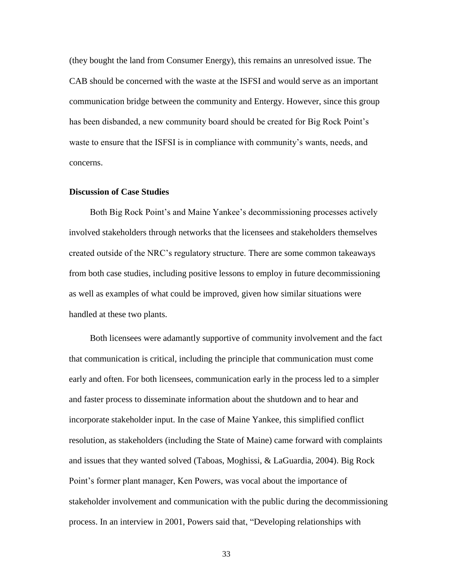(they bought the land from Consumer Energy), this remains an unresolved issue. The CAB should be concerned with the waste at the ISFSI and would serve as an important communication bridge between the community and Entergy. However, since this group has been disbanded, a new community board should be created for Big Rock Point's waste to ensure that the ISFSI is in compliance with community's wants, needs, and concerns.

### **Discussion of Case Studies**

Both Big Rock Point's and Maine Yankee's decommissioning processes actively involved stakeholders through networks that the licensees and stakeholders themselves created outside of the NRC's regulatory structure. There are some common takeaways from both case studies, including positive lessons to employ in future decommissioning as well as examples of what could be improved, given how similar situations were handled at these two plants.

Both licensees were adamantly supportive of community involvement and the fact that communication is critical, including the principle that communication must come early and often. For both licensees, communication early in the process led to a simpler and faster process to disseminate information about the shutdown and to hear and incorporate stakeholder input. In the case of Maine Yankee, this simplified conflict resolution, as stakeholders (including the State of Maine) came forward with complaints and issues that they wanted solved (Taboas, Moghissi, & LaGuardia, 2004). Big Rock Point's former plant manager, Ken Powers, was vocal about the importance of stakeholder involvement and communication with the public during the decommissioning process. In an interview in 2001, Powers said that, "Developing relationships with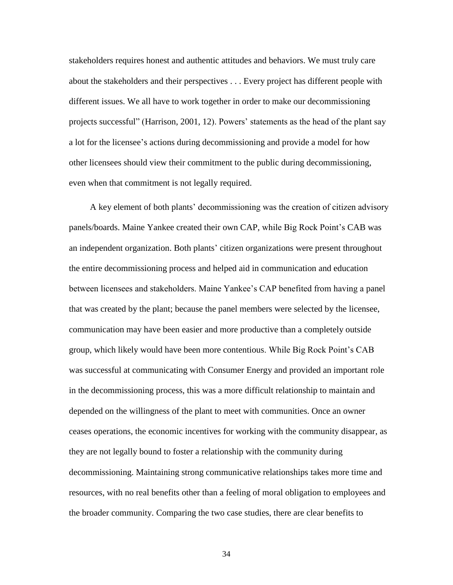stakeholders requires honest and authentic attitudes and behaviors. We must truly care about the stakeholders and their perspectives . . . Every project has different people with different issues. We all have to work together in order to make our decommissioning projects successful" (Harrison, 2001, 12). Powers' statements as the head of the plant say a lot for the licensee's actions during decommissioning and provide a model for how other licensees should view their commitment to the public during decommissioning, even when that commitment is not legally required.

A key element of both plants' decommissioning was the creation of citizen advisory panels/boards. Maine Yankee created their own CAP, while Big Rock Point's CAB was an independent organization. Both plants' citizen organizations were present throughout the entire decommissioning process and helped aid in communication and education between licensees and stakeholders. Maine Yankee's CAP benefited from having a panel that was created by the plant; because the panel members were selected by the licensee, communication may have been easier and more productive than a completely outside group, which likely would have been more contentious. While Big Rock Point's CAB was successful at communicating with Consumer Energy and provided an important role in the decommissioning process, this was a more difficult relationship to maintain and depended on the willingness of the plant to meet with communities. Once an owner ceases operations, the economic incentives for working with the community disappear, as they are not legally bound to foster a relationship with the community during decommissioning. Maintaining strong communicative relationships takes more time and resources, with no real benefits other than a feeling of moral obligation to employees and the broader community. Comparing the two case studies, there are clear benefits to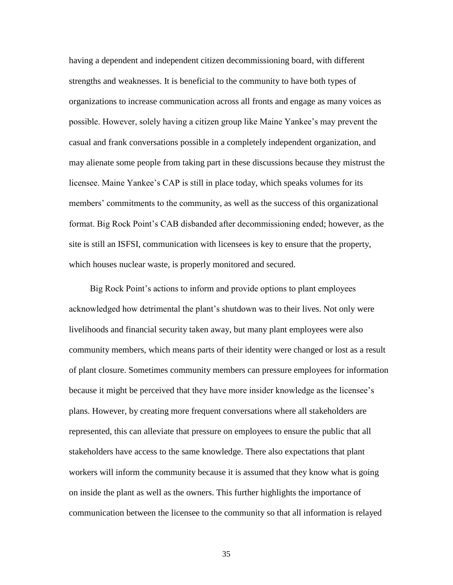having a dependent and independent citizen decommissioning board, with different strengths and weaknesses. It is beneficial to the community to have both types of organizations to increase communication across all fronts and engage as many voices as possible. However, solely having a citizen group like Maine Yankee's may prevent the casual and frank conversations possible in a completely independent organization, and may alienate some people from taking part in these discussions because they mistrust the licensee. Maine Yankee's CAP is still in place today, which speaks volumes for its members' commitments to the community, as well as the success of this organizational format. Big Rock Point's CAB disbanded after decommissioning ended; however, as the site is still an ISFSI, communication with licensees is key to ensure that the property, which houses nuclear waste, is properly monitored and secured.

Big Rock Point's actions to inform and provide options to plant employees acknowledged how detrimental the plant's shutdown was to their lives. Not only were livelihoods and financial security taken away, but many plant employees were also community members, which means parts of their identity were changed or lost as a result of plant closure. Sometimes community members can pressure employees for information because it might be perceived that they have more insider knowledge as the licensee's plans. However, by creating more frequent conversations where all stakeholders are represented, this can alleviate that pressure on employees to ensure the public that all stakeholders have access to the same knowledge. There also expectations that plant workers will inform the community because it is assumed that they know what is going on inside the plant as well as the owners. This further highlights the importance of communication between the licensee to the community so that all information is relayed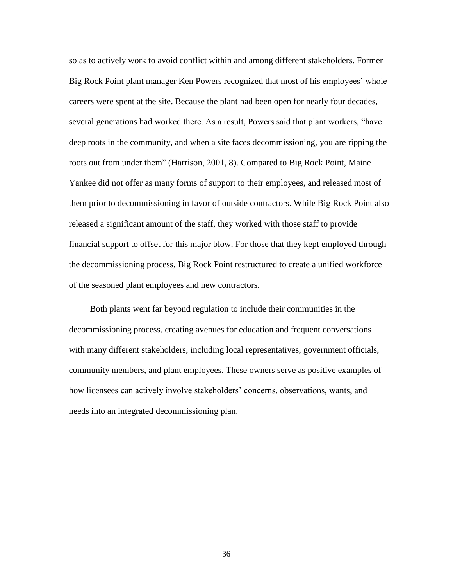so as to actively work to avoid conflict within and among different stakeholders. Former Big Rock Point plant manager Ken Powers recognized that most of his employees' whole careers were spent at the site. Because the plant had been open for nearly four decades, several generations had worked there. As a result, Powers said that plant workers, "have deep roots in the community, and when a site faces decommissioning, you are ripping the roots out from under them" (Harrison, 2001, 8). Compared to Big Rock Point, Maine Yankee did not offer as many forms of support to their employees, and released most of them prior to decommissioning in favor of outside contractors. While Big Rock Point also released a significant amount of the staff, they worked with those staff to provide financial support to offset for this major blow. For those that they kept employed through the decommissioning process, Big Rock Point restructured to create a unified workforce of the seasoned plant employees and new contractors.

Both plants went far beyond regulation to include their communities in the decommissioning process, creating avenues for education and frequent conversations with many different stakeholders, including local representatives, government officials, community members, and plant employees. These owners serve as positive examples of how licensees can actively involve stakeholders' concerns, observations, wants, and needs into an integrated decommissioning plan.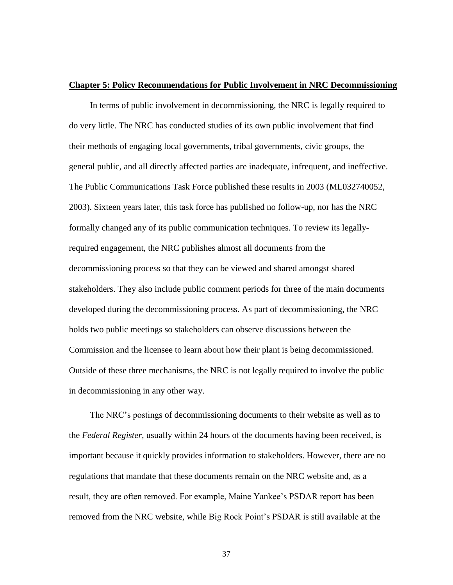#### **Chapter 5: Policy Recommendations for Public Involvement in NRC Decommissioning**

In terms of public involvement in decommissioning, the NRC is legally required to do very little. The NRC has conducted studies of its own public involvement that find their methods of engaging local governments, tribal governments, civic groups, the general public, and all directly affected parties are inadequate, infrequent, and ineffective. The Public Communications Task Force published these results in 2003 (ML032740052, 2003). Sixteen years later, this task force has published no follow-up, nor has the NRC formally changed any of its public communication techniques. To review its legallyrequired engagement, the NRC publishes almost all documents from the decommissioning process so that they can be viewed and shared amongst shared stakeholders. They also include public comment periods for three of the main documents developed during the decommissioning process. As part of decommissioning, the NRC holds two public meetings so stakeholders can observe discussions between the Commission and the licensee to learn about how their plant is being decommissioned. Outside of these three mechanisms, the NRC is not legally required to involve the public in decommissioning in any other way.

The NRC's postings of decommissioning documents to their website as well as to the *Federal Register,* usually within 24 hours of the documents having been received, is important because it quickly provides information to stakeholders. However, there are no regulations that mandate that these documents remain on the NRC website and, as a result, they are often removed. For example, Maine Yankee's PSDAR report has been removed from the NRC website, while Big Rock Point's PSDAR is still available at the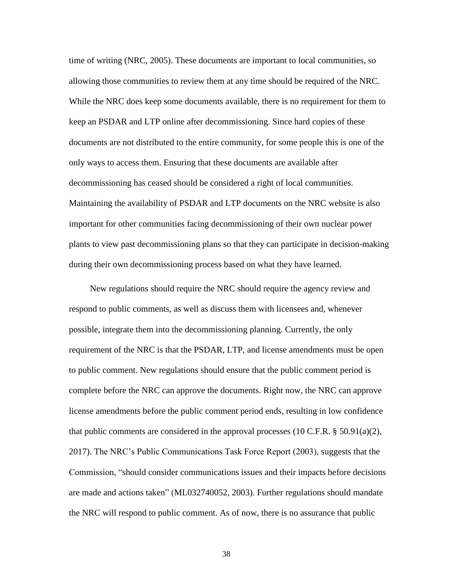time of writing (NRC, 2005). These documents are important to local communities, so allowing those communities to review them at any time should be required of the NRC. While the NRC does keep some documents available, there is no requirement for them to keep an PSDAR and LTP online after decommissioning. Since hard copies of these documents are not distributed to the entire community, for some people this is one of the only ways to access them. Ensuring that these documents are available after decommissioning has ceased should be considered a right of local communities. Maintaining the availability of PSDAR and LTP documents on the NRC website is also important for other communities facing decommissioning of their own nuclear power plants to view past decommissioning plans so that they can participate in decision-making during their own decommissioning process based on what they have learned.

New regulations should require the NRC should require the agency review and respond to public comments, as well as discuss them with licensees and, whenever possible, integrate them into the decommissioning planning. Currently, the only requirement of the NRC is that the PSDAR, LTP, and license amendments must be open to public comment. New regulations should ensure that the public comment period is complete before the NRC can approve the documents. Right now, the NRC can approve license amendments before the public comment period ends, resulting in low confidence that public comments are considered in the approval processes  $(10 \text{ C.F.R.} \$ § 50.91 $(a)(2)$ , 2017). The NRC's Public Communications Task Force Report (2003), suggests that the Commission, "should consider communications issues and their impacts before decisions are made and actions taken" (ML032740052, 2003). Further regulations should mandate the NRC will respond to public comment. As of now, there is no assurance that public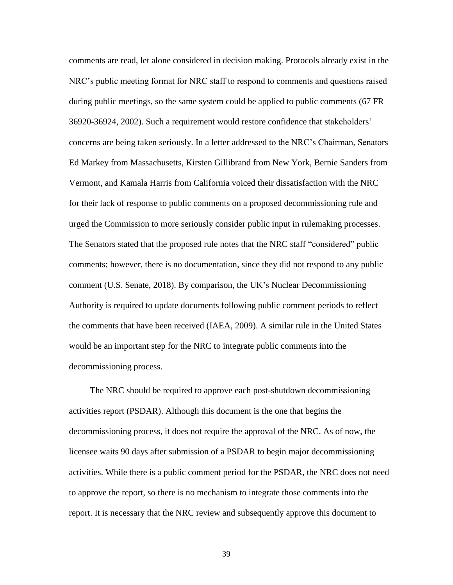comments are read, let alone considered in decision making. Protocols already exist in the NRC's public meeting format for NRC staff to respond to comments and questions raised during public meetings, so the same system could be applied to public comments (67 FR 36920-36924, 2002). Such a requirement would restore confidence that stakeholders' concerns are being taken seriously. In a letter addressed to the NRC's Chairman, Senators Ed Markey from Massachusetts, Kirsten Gillibrand from New York, Bernie Sanders from Vermont, and Kamala Harris from California voiced their dissatisfaction with the NRC for their lack of response to public comments on a proposed decommissioning rule and urged the Commission to more seriously consider public input in rulemaking processes. The Senators stated that the proposed rule notes that the NRC staff "considered" public comments; however, there is no documentation, since they did not respond to any public comment (U.S. Senate, 2018). By comparison, the UK's Nuclear Decommissioning Authority is required to update documents following public comment periods to reflect the comments that have been received (IAEA, 2009). A similar rule in the United States would be an important step for the NRC to integrate public comments into the decommissioning process.

The NRC should be required to approve each post-shutdown decommissioning activities report (PSDAR). Although this document is the one that begins the decommissioning process, it does not require the approval of the NRC. As of now, the licensee waits 90 days after submission of a PSDAR to begin major decommissioning activities. While there is a public comment period for the PSDAR, the NRC does not need to approve the report, so there is no mechanism to integrate those comments into the report. It is necessary that the NRC review and subsequently approve this document to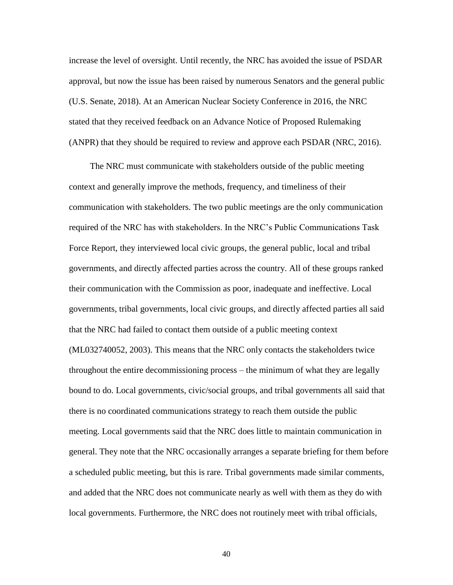increase the level of oversight. Until recently, the NRC has avoided the issue of PSDAR approval, but now the issue has been raised by numerous Senators and the general public (U.S. Senate, 2018). At an American Nuclear Society Conference in 2016, the NRC stated that they received feedback on an Advance Notice of Proposed Rulemaking (ANPR) that they should be required to review and approve each PSDAR (NRC, 2016).

The NRC must communicate with stakeholders outside of the public meeting context and generally improve the methods, frequency, and timeliness of their communication with stakeholders. The two public meetings are the only communication required of the NRC has with stakeholders. In the NRC's Public Communications Task Force Report, they interviewed local civic groups, the general public, local and tribal governments, and directly affected parties across the country. All of these groups ranked their communication with the Commission as poor, inadequate and ineffective. Local governments, tribal governments, local civic groups, and directly affected parties all said that the NRC had failed to contact them outside of a public meeting context (ML032740052, 2003). This means that the NRC only contacts the stakeholders twice throughout the entire decommissioning process – the minimum of what they are legally bound to do. Local governments, civic/social groups, and tribal governments all said that there is no coordinated communications strategy to reach them outside the public meeting. Local governments said that the NRC does little to maintain communication in general. They note that the NRC occasionally arranges a separate briefing for them before a scheduled public meeting, but this is rare. Tribal governments made similar comments, and added that the NRC does not communicate nearly as well with them as they do with local governments. Furthermore, the NRC does not routinely meet with tribal officials,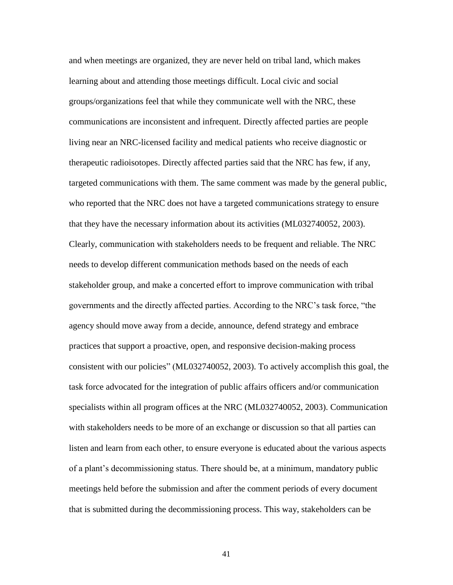and when meetings are organized, they are never held on tribal land, which makes learning about and attending those meetings difficult. Local civic and social groups/organizations feel that while they communicate well with the NRC, these communications are inconsistent and infrequent. Directly affected parties are people living near an NRC-licensed facility and medical patients who receive diagnostic or therapeutic radioisotopes. Directly affected parties said that the NRC has few, if any, targeted communications with them. The same comment was made by the general public, who reported that the NRC does not have a targeted communications strategy to ensure that they have the necessary information about its activities (ML032740052, 2003). Clearly, communication with stakeholders needs to be frequent and reliable. The NRC needs to develop different communication methods based on the needs of each stakeholder group, and make a concerted effort to improve communication with tribal governments and the directly affected parties. According to the NRC's task force, "the agency should move away from a decide, announce, defend strategy and embrace practices that support a proactive, open, and responsive decision-making process consistent with our policies" (ML032740052, 2003). To actively accomplish this goal, the task force advocated for the integration of public affairs officers and/or communication specialists within all program offices at the NRC (ML032740052, 2003). Communication with stakeholders needs to be more of an exchange or discussion so that all parties can listen and learn from each other, to ensure everyone is educated about the various aspects of a plant's decommissioning status. There should be, at a minimum, mandatory public meetings held before the submission and after the comment periods of every document that is submitted during the decommissioning process. This way, stakeholders can be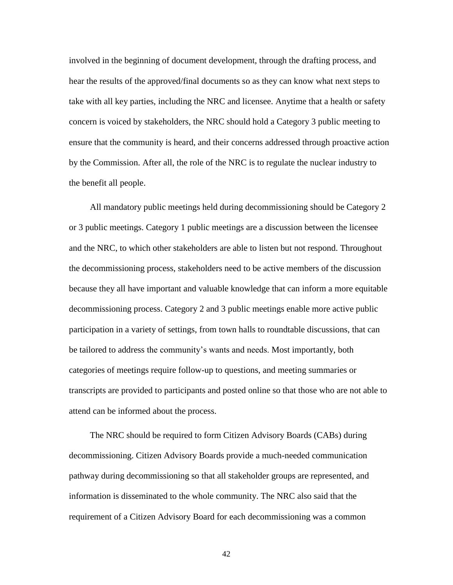involved in the beginning of document development, through the drafting process, and hear the results of the approved/final documents so as they can know what next steps to take with all key parties, including the NRC and licensee. Anytime that a health or safety concern is voiced by stakeholders, the NRC should hold a Category 3 public meeting to ensure that the community is heard, and their concerns addressed through proactive action by the Commission. After all, the role of the NRC is to regulate the nuclear industry to the benefit all people.

All mandatory public meetings held during decommissioning should be Category 2 or 3 public meetings. Category 1 public meetings are a discussion between the licensee and the NRC, to which other stakeholders are able to listen but not respond. Throughout the decommissioning process, stakeholders need to be active members of the discussion because they all have important and valuable knowledge that can inform a more equitable decommissioning process. Category 2 and 3 public meetings enable more active public participation in a variety of settings, from town halls to roundtable discussions, that can be tailored to address the community's wants and needs. Most importantly, both categories of meetings require follow-up to questions, and meeting summaries or transcripts are provided to participants and posted online so that those who are not able to attend can be informed about the process.

The NRC should be required to form Citizen Advisory Boards (CABs) during decommissioning. Citizen Advisory Boards provide a much-needed communication pathway during decommissioning so that all stakeholder groups are represented, and information is disseminated to the whole community. The NRC also said that the requirement of a Citizen Advisory Board for each decommissioning was a common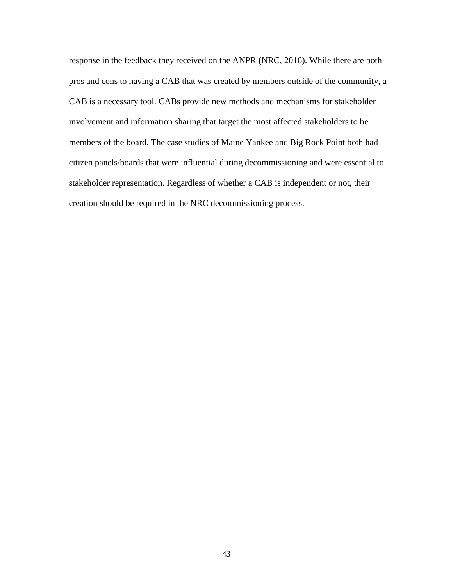response in the feedback they received on the ANPR (NRC, 2016). While there are both pros and cons to having a CAB that was created by members outside of the community, a CAB is a necessary tool. CABs provide new methods and mechanisms for stakeholder involvement and information sharing that target the most affected stakeholders to be members of the board. The case studies of Maine Yankee and Big Rock Point both had citizen panels/boards that were influential during decommissioning and were essential to stakeholder representation. Regardless of whether a CAB is independent or not, their creation should be required in the NRC decommissioning process.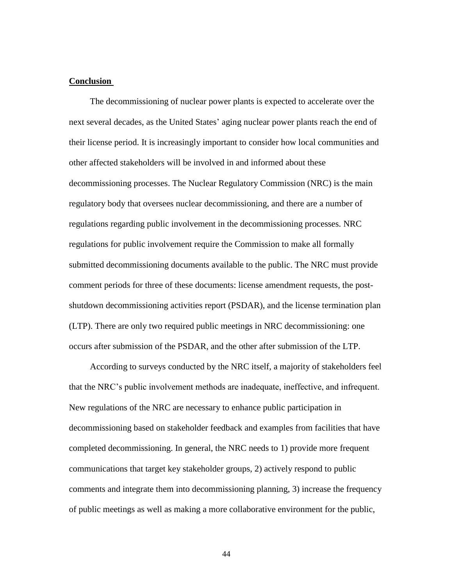#### **Conclusion**

The decommissioning of nuclear power plants is expected to accelerate over the next several decades, as the United States' aging nuclear power plants reach the end of their license period. It is increasingly important to consider how local communities and other affected stakeholders will be involved in and informed about these decommissioning processes. The Nuclear Regulatory Commission (NRC) is the main regulatory body that oversees nuclear decommissioning, and there are a number of regulations regarding public involvement in the decommissioning processes. NRC regulations for public involvement require the Commission to make all formally submitted decommissioning documents available to the public. The NRC must provide comment periods for three of these documents: license amendment requests, the postshutdown decommissioning activities report (PSDAR), and the license termination plan (LTP). There are only two required public meetings in NRC decommissioning: one occurs after submission of the PSDAR, and the other after submission of the LTP.

According to surveys conducted by the NRC itself, a majority of stakeholders feel that the NRC's public involvement methods are inadequate, ineffective, and infrequent. New regulations of the NRC are necessary to enhance public participation in decommissioning based on stakeholder feedback and examples from facilities that have completed decommissioning. In general, the NRC needs to 1) provide more frequent communications that target key stakeholder groups, 2) actively respond to public comments and integrate them into decommissioning planning, 3) increase the frequency of public meetings as well as making a more collaborative environment for the public,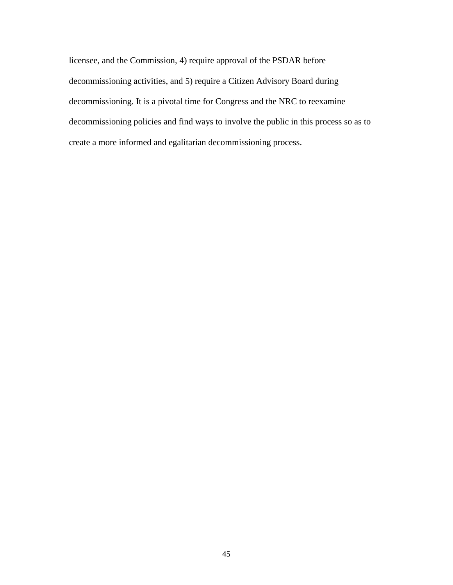licensee, and the Commission, 4) require approval of the PSDAR before decommissioning activities, and 5) require a Citizen Advisory Board during decommissioning. It is a pivotal time for Congress and the NRC to reexamine decommissioning policies and find ways to involve the public in this process so as to create a more informed and egalitarian decommissioning process.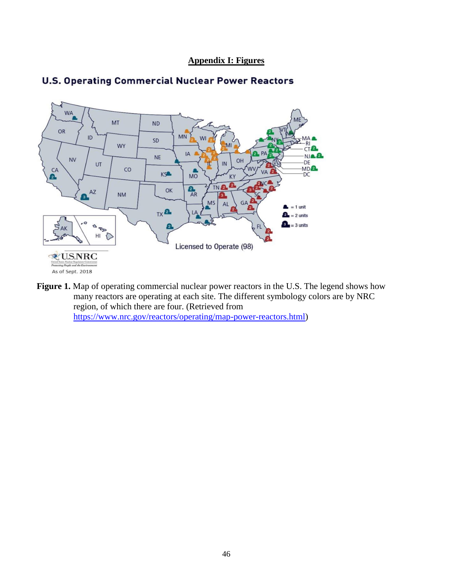**Appendix I: Figures**



## **U.S. Operating Commercial Nuclear Power Reactors**

Figure 1. Map of operating commercial nuclear power reactors in the U.S. The legend shows how many reactors are operating at each site. The different symbology colors are by NRC region, of which there are four. (Retrieved from [https://www.nrc.gov/reactors/operating/map-power-reactors.html\)](https://www.nrc.gov/reactors/operating/map-power-reactors.html)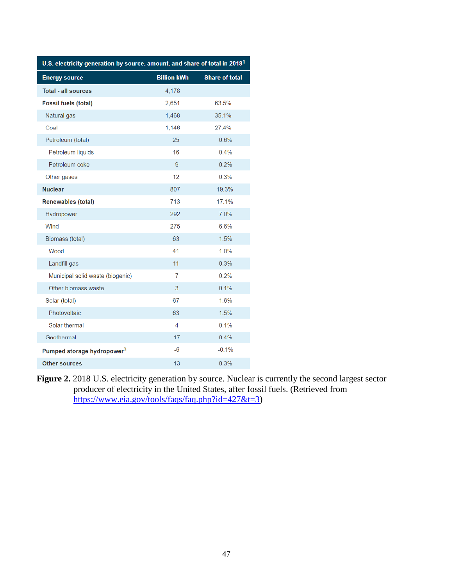| U.S. electricity generation by source, amount, and share of total in 2018 <sup>1</sup> |                    |                       |
|----------------------------------------------------------------------------------------|--------------------|-----------------------|
| <b>Energy source</b>                                                                   | <b>Billion kWh</b> | <b>Share of total</b> |
| <b>Total - all sources</b>                                                             | 4,178              |                       |
| <b>Fossil fuels (total)</b>                                                            | 2,651              | 63.5%                 |
| Natural gas                                                                            | 1,468              | 35.1%                 |
| Coal                                                                                   | 1,146              | 27.4%                 |
| Petroleum (total)                                                                      | 25                 | 0.6%                  |
| Petroleum liquids                                                                      | 16                 | 0.4%                  |
| Petroleum coke                                                                         | 9                  | 0.2%                  |
| Other gases                                                                            | 12                 | 0.3%                  |
| <b>Nuclear</b>                                                                         | 807                | 19.3%                 |
| <b>Renewables (total)</b>                                                              | 713                | 17.1%                 |
| Hydropower                                                                             | 292                | 7.0%                  |
| Wind                                                                                   | 275                | 6.6%                  |
| Biomass (total)                                                                        | 63                 | 1.5%                  |
| Wood                                                                                   | 41                 | 1.0%                  |
| Landfill gas                                                                           | 11                 | 0.3%                  |
| Municipal solid waste (biogenic)                                                       | $\overline{7}$     | 0.2%                  |
| Other biomass waste                                                                    | 3                  | 0.1%                  |
| Solar (total)                                                                          | 67                 | 1.6%                  |
| Photovoltaic                                                                           | 63                 | 1.5%                  |
| Solar thermal                                                                          | $\overline{4}$     | 0.1%                  |
| Geothermal                                                                             | 17                 | 0.4%                  |
| Pumped storage hydropower <sup>3</sup>                                                 | -6                 | $-0.1%$               |
| <b>Other sources</b>                                                                   | 13                 | 0.3%                  |

**Figure 2.** 2018 U.S. electricity generation by source. Nuclear is currently the second largest sector producer of electricity in the United States, after fossil fuels. (Retrieved from [https://www.eia.gov/tools/faqs/faq.php?id=427&t=3\)](https://www.eia.gov/tools/faqs/faq.php?id=427&t=3)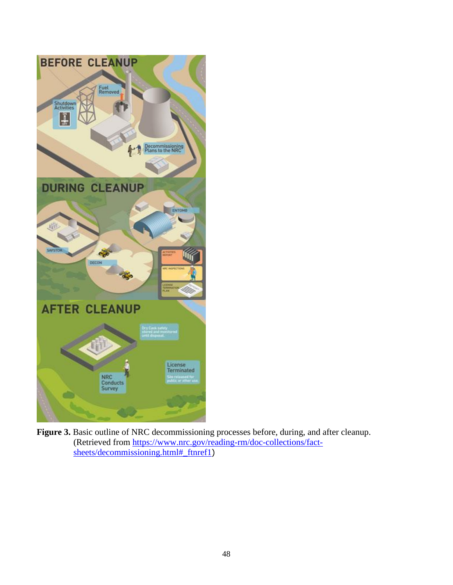

Figure 3. Basic outline of NRC decommissioning processes before, during, and after cleanup. (Retrieved from [https://www.nrc.gov/reading-rm/doc-collections/fact](https://www.nrc.gov/reading-rm/doc-collections/fact-sheets/decommissioning.html#_ftnref1)[sheets/decommissioning.html#\\_ftnref1](https://www.nrc.gov/reading-rm/doc-collections/fact-sheets/decommissioning.html#_ftnref1))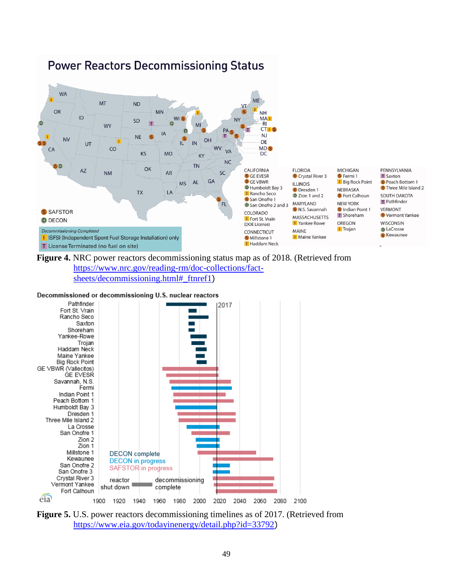

## **Power Reactors Decommissioning Status**

**Figure 4.** NRC power reactors decommissioning status map as of 2018. (Retrieved from [https://www.nrc.gov/reading-rm/doc-collections/fact](https://www.nrc.gov/reading-rm/doc-collections/fact-sheets/decommissioning.html#_ftnref1)[sheets/decommissioning.html#\\_ftnref1](https://www.nrc.gov/reading-rm/doc-collections/fact-sheets/decommissioning.html#_ftnref1))

#### Decommissioned or decommissioning U.S. nuclear reactors



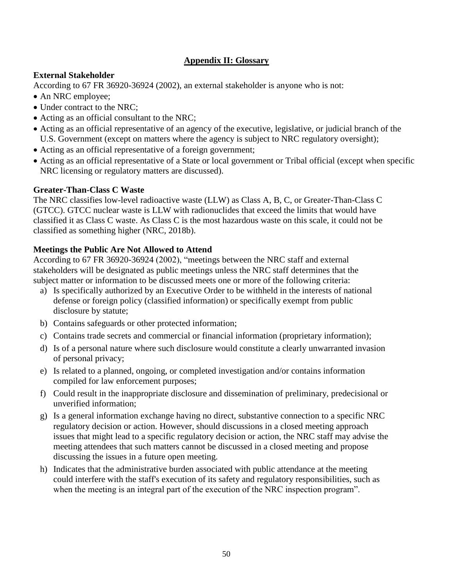## **Appendix II: Glossary**

## **External Stakeholder**

According to 67 FR 36920-36924 (2002), an external stakeholder is anyone who is not:

- An NRC employee;
- Under contract to the NRC;
- Acting as an official consultant to the NRC;
- Acting as an official representative of an agency of the executive, legislative, or judicial branch of the U.S. Government (except on matters where the agency is subject to NRC regulatory oversight);
- Acting as an official representative of a foreign government;
- Acting as an official representative of a State or local government or Tribal official (except when specific NRC licensing or regulatory matters are discussed).

## **Greater-Than-Class C Waste**

The NRC classifies low-level radioactive waste (LLW) as Class A, B, C, or Greater-Than-Class C (GTCC). GTCC nuclear waste is LLW with radionuclides that exceed the limits that would have classified it as Class C waste. As Class C is the most hazardous waste on this scale, it could not be classified as something higher (NRC, 2018b).

## **Meetings the Public Are Not Allowed to Attend**

According to 67 FR 36920-36924 (2002), "meetings between the NRC staff and external stakeholders will be designated as public meetings unless the NRC staff determines that the subject matter or information to be discussed meets one or more of the following criteria:

- a) Is specifically authorized by an Executive Order to be withheld in the interests of national defense or foreign policy (classified information) or specifically exempt from public disclosure by statute;
- b) Contains safeguards or other protected information;
- c) Contains trade secrets and commercial or financial information (proprietary information);
- d) Is of a personal nature where such disclosure would constitute a clearly unwarranted invasion of personal privacy;
- e) Is related to a planned, ongoing, or completed investigation and/or contains information compiled for law enforcement purposes;
- f) Could result in the inappropriate disclosure and dissemination of preliminary, predecisional or unverified information;
- g) Is a general information exchange having no direct, substantive connection to a specific NRC regulatory decision or action. However, should discussions in a closed meeting approach issues that might lead to a specific regulatory decision or action, the NRC staff may advise the meeting attendees that such matters cannot be discussed in a closed meeting and propose discussing the issues in a future open meeting.
- h) Indicates that the administrative burden associated with public attendance at the meeting could interfere with the staff's execution of its safety and regulatory responsibilities, such as when the meeting is an integral part of the execution of the NRC inspection program".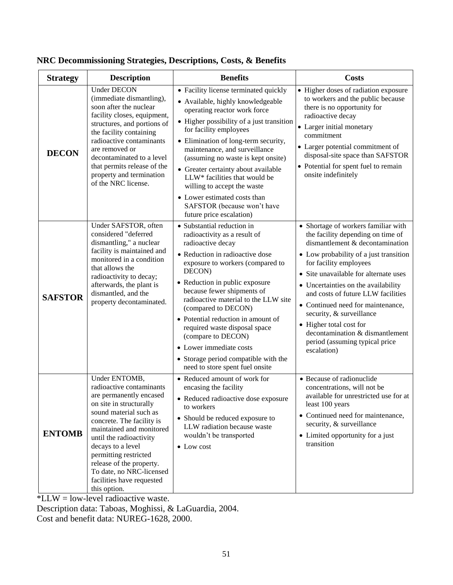| <b>Strategy</b> | <b>Description</b>                                                                                                                                                                                                                                                                                                                                               | <b>Benefits</b>                                                                                                                                                                                                                                                                                                                                                                                                                                                                                    | <b>Costs</b>                                                                                                                                                                                                                                                                                                                                                                                                                                                                          |
|-----------------|------------------------------------------------------------------------------------------------------------------------------------------------------------------------------------------------------------------------------------------------------------------------------------------------------------------------------------------------------------------|----------------------------------------------------------------------------------------------------------------------------------------------------------------------------------------------------------------------------------------------------------------------------------------------------------------------------------------------------------------------------------------------------------------------------------------------------------------------------------------------------|---------------------------------------------------------------------------------------------------------------------------------------------------------------------------------------------------------------------------------------------------------------------------------------------------------------------------------------------------------------------------------------------------------------------------------------------------------------------------------------|
| <b>DECON</b>    | <b>Under DECON</b><br>(immediate dismantling),<br>soon after the nuclear<br>facility closes, equipment,<br>structures, and portions of<br>the facility containing<br>radioactive contaminants<br>are removed or<br>decontaminated to a level<br>that permits release of the<br>property and termination<br>of the NRC license.                                   | • Facility license terminated quickly<br>• Available, highly knowledgeable<br>operating reactor work force<br>• Higher possibility of a just transition<br>for facility employees<br>• Elimination of long-term security,<br>maintenance, and surveillance<br>(assuming no waste is kept onsite)<br>• Greater certainty about available<br>LLW* facilities that would be<br>willing to accept the waste<br>• Lower estimated costs than<br>SAFSTOR (because won't have<br>future price escalation) | • Higher doses of radiation exposure<br>to workers and the public because<br>there is no opportunity for<br>radioactive decay<br>• Larger initial monetary<br>commitment<br>• Larger potential commitment of<br>disposal-site space than SAFSTOR<br>• Potential for spent fuel to remain<br>onsite indefinitely                                                                                                                                                                       |
| <b>SAFSTOR</b>  | Under SAFSTOR, often<br>considered "deferred<br>dismantling," a nuclear<br>facility is maintained and<br>monitored in a condition<br>that allows the<br>radioactivity to decay;<br>afterwards, the plant is<br>dismantled, and the<br>property decontaminated.                                                                                                   | • Substantial reduction in<br>radioactivity as a result of<br>radioactive decay<br>• Reduction in radioactive dose<br>exposure to workers (compared to<br>DECON)<br>• Reduction in public exposure<br>because fewer shipments of<br>radioactive material to the LLW site<br>(compared to DECON)<br>• Potential reduction in amount of<br>required waste disposal space<br>(compare to DECON)<br>• Lower immediate costs<br>• Storage period compatible with the<br>need to store spent fuel onsite | • Shortage of workers familiar with<br>the facility depending on time of<br>dismantlement & decontamination<br>• Low probability of a just transition<br>for facility employees<br>• Site unavailable for alternate uses<br>• Uncertainties on the availability<br>and costs of future LLW facilities<br>• Continued need for maintenance,<br>security, & surveillance<br>• Higher total cost for<br>decontamination & dismantlement<br>period (assuming typical price<br>escalation) |
| <b>ENTOMB</b>   | Under ENTOMB,<br>radioactive contaminants<br>are permanently encased<br>on site in structurally<br>sound material such as<br>concrete. The facility is<br>maintained and monitored<br>until the radioactivity<br>decays to a level<br>permitting restricted<br>release of the property.<br>To date, no NRC-licensed<br>facilities have requested<br>this option. | • Reduced amount of work for<br>encasing the facility<br>• Reduced radioactive dose exposure<br>to workers<br>• Should be reduced exposure to<br>LLW radiation because waste<br>wouldn't be transported<br>$\bullet$ Low cost                                                                                                                                                                                                                                                                      | • Because of radionuclide<br>concentrations, will not be<br>available for unrestricted use for at<br>least 100 years<br>• Continued need for maintenance,<br>security, & surveillance<br>• Limited opportunity for a just<br>transition                                                                                                                                                                                                                                               |

## **NRC Decommissioning Strategies, Descriptions, Costs, & Benefits**

\*LLW = low-level radioactive waste.

Description data: Taboas, Moghissi, & LaGuardia, 2004.

Cost and benefit data: NUREG-1628, 2000.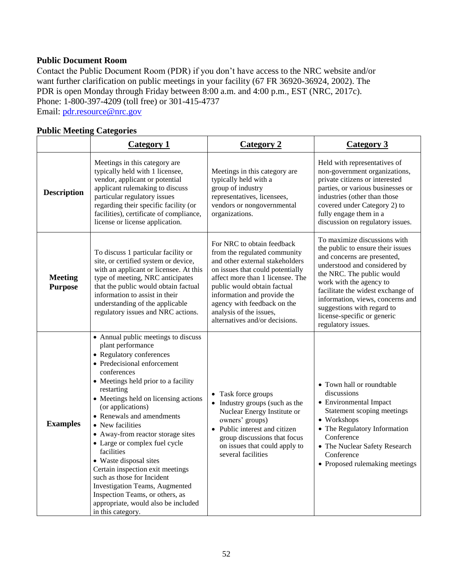### **Public Document Room**

Contact the Public Document Room (PDR) if you don't have access to the NRC website and/or want further clarification on public meetings in your facility (67 FR 36920-36924, 2002). The PDR is open Monday through Friday between 8:00 a.m. and 4:00 p.m., EST (NRC, 2017c). Phone: 1-800-397-4209 (toll free) or 301-415-4737

Email: [pdr.resource@nrc.gov](mailto:pdr.resource@nrc.gov)

### **Public Meeting Categories**

|                                  | <b>Category 1</b>                                                                                                                                                                                                                                                                                                                                                                                                                                                                                                                                                                                                             | <b>Category 2</b>                                                                                                                                                                                                                                                                                                               | <b>Category 3</b>                                                                                                                                                                                                                                                                                                                                    |
|----------------------------------|-------------------------------------------------------------------------------------------------------------------------------------------------------------------------------------------------------------------------------------------------------------------------------------------------------------------------------------------------------------------------------------------------------------------------------------------------------------------------------------------------------------------------------------------------------------------------------------------------------------------------------|---------------------------------------------------------------------------------------------------------------------------------------------------------------------------------------------------------------------------------------------------------------------------------------------------------------------------------|------------------------------------------------------------------------------------------------------------------------------------------------------------------------------------------------------------------------------------------------------------------------------------------------------------------------------------------------------|
| <b>Description</b>               | Meetings in this category are<br>typically held with 1 licensee,<br>vendor, applicant or potential<br>applicant rulemaking to discuss<br>particular regulatory issues<br>regarding their specific facility (or<br>facilities), certificate of compliance,<br>license or license application.                                                                                                                                                                                                                                                                                                                                  | Meetings in this category are<br>typically held with a<br>group of industry<br>representatives, licensees,<br>vendors or nongovernmental<br>organizations.                                                                                                                                                                      | Held with representatives of<br>non-government organizations,<br>private citizens or interested<br>parties, or various businesses or<br>industries (other than those<br>covered under Category 2) to<br>fully engage them in a<br>discussion on regulatory issues.                                                                                   |
| <b>Meeting</b><br><b>Purpose</b> | To discuss 1 particular facility or<br>site, or certified system or device,<br>with an applicant or licensee. At this<br>type of meeting, NRC anticipates<br>that the public would obtain factual<br>information to assist in their<br>understanding of the applicable<br>regulatory issues and NRC actions.                                                                                                                                                                                                                                                                                                                  | For NRC to obtain feedback<br>from the regulated community<br>and other external stakeholders<br>on issues that could potentially<br>affect more than 1 licensee. The<br>public would obtain factual<br>information and provide the<br>agency with feedback on the<br>analysis of the issues,<br>alternatives and/or decisions. | To maximize discussions with<br>the public to ensure their issues<br>and concerns are presented,<br>understood and considered by<br>the NRC. The public would<br>work with the agency to<br>facilitate the widest exchange of<br>information, views, concerns and<br>suggestions with regard to<br>license-specific or generic<br>regulatory issues. |
| <b>Examples</b>                  | • Annual public meetings to discuss<br>plant performance<br>• Regulatory conferences<br>• Predecisional enforcement<br>conferences<br>• Meetings held prior to a facility<br>restarting<br>• Meetings held on licensing actions<br>(or applications)<br>• Renewals and amendments<br>• New facilities<br>• Away-from reactor storage sites<br>• Large or complex fuel cycle<br>facilities<br>• Waste disposal sites<br>Certain inspection exit meetings<br>such as those for Incident<br><b>Investigation Teams, Augmented</b><br>Inspection Teams, or others, as<br>appropriate, would also be included<br>in this category. | • Task force groups<br>• Industry groups (such as the<br>Nuclear Energy Institute or<br>owners' groups)<br>• Public interest and citizen<br>group discussions that focus<br>on issues that could apply to<br>several facilities                                                                                                 | • Town hall or roundtable<br>discussions<br>• Environmental Impact<br>Statement scoping meetings<br>• Workshops<br>• The Regulatory Information<br>Conference<br>• The Nuclear Safety Research<br>Conference<br>• Proposed rulemaking meetings                                                                                                       |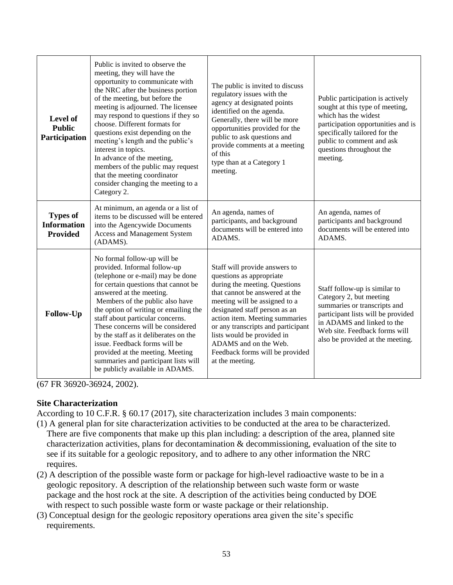| Level of<br><b>Public</b><br>Participation               | Public is invited to observe the<br>meeting, they will have the<br>opportunity to communicate with<br>the NRC after the business portion<br>of the meeting, but before the<br>meeting is adjourned. The licensee<br>may respond to questions if they so<br>choose. Different formats for<br>questions exist depending on the<br>meeting's length and the public's<br>interest in topics.<br>In advance of the meeting,<br>members of the public may request<br>that the meeting coordinator<br>consider changing the meeting to a<br>Category 2. | The public is invited to discuss<br>regulatory issues with the<br>agency at designated points<br>identified on the agenda.<br>Generally, there will be more<br>opportunities provided for the<br>public to ask questions and<br>provide comments at a meeting<br>of this<br>type than at a Category 1<br>meeting.                                                                   | Public participation is actively<br>sought at this type of meeting,<br>which has the widest<br>participation opportunities and is<br>specifically tailored for the<br>public to comment and ask<br>questions throughout the<br>meeting. |
|----------------------------------------------------------|--------------------------------------------------------------------------------------------------------------------------------------------------------------------------------------------------------------------------------------------------------------------------------------------------------------------------------------------------------------------------------------------------------------------------------------------------------------------------------------------------------------------------------------------------|-------------------------------------------------------------------------------------------------------------------------------------------------------------------------------------------------------------------------------------------------------------------------------------------------------------------------------------------------------------------------------------|-----------------------------------------------------------------------------------------------------------------------------------------------------------------------------------------------------------------------------------------|
| <b>Types of</b><br><b>Information</b><br><b>Provided</b> | At minimum, an agenda or a list of<br>items to be discussed will be entered<br>into the Agencywide Documents<br>Access and Management System<br>(ADAMS).                                                                                                                                                                                                                                                                                                                                                                                         | An agenda, names of<br>participants, and background<br>documents will be entered into<br>ADAMS.                                                                                                                                                                                                                                                                                     | An agenda, names of<br>participants and background<br>documents will be entered into<br>ADAMS.                                                                                                                                          |
| Follow-Up                                                | No formal follow-up will be<br>provided. Informal follow-up<br>(telephone or e-mail) may be done<br>for certain questions that cannot be<br>answered at the meeting.<br>Members of the public also have<br>the option of writing or emailing the<br>staff about particular concerns.<br>These concerns will be considered<br>by the staff as it deliberates on the<br>issue. Feedback forms will be<br>provided at the meeting. Meeting<br>summaries and participant lists will<br>be publicly available in ADAMS.                               | Staff will provide answers to<br>questions as appropriate<br>during the meeting. Questions<br>that cannot be answered at the<br>meeting will be assigned to a<br>designated staff person as an<br>action item. Meeting summaries<br>or any transcripts and participant<br>lists would be provided in<br>ADAMS and on the Web.<br>Feedback forms will be provided<br>at the meeting. | Staff follow-up is similar to<br>Category 2, but meeting<br>summaries or transcripts and<br>participant lists will be provided<br>in ADAMS and linked to the<br>Web site. Feedback forms will<br>also be provided at the meeting.       |

(67 FR 36920-36924, 2002).

### **Site Characterization**

According to 10 C.F.R. § 60.17 (2017), site characterization includes 3 main components:

- (1) A general plan for site characterization activities to be conducted at the area to be characterized. There are five components that make up this plan including: a description of the area, planned site characterization activities, plans for decontamination & decommissioning, evaluation of the site to see if its suitable for a geologic repository, and to adhere to any other information the NRC requires.
- (2) A description of the possible waste form or package for high-level radioactive waste to be in a geologic repository. A description of the relationship between such waste form or waste package and the host rock at the site. A description of the activities being conducted by DOE with respect to such possible waste form or waste package or their relationship.
- (3) Conceptual design for the geologic repository operations area given the site's specific requirements.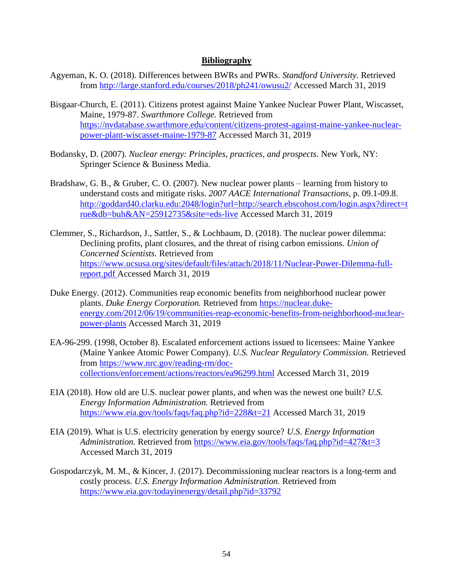### **Bibliography**

- Agyeman, K. O. (2018). Differences between BWRs and PWRs. *Standford University.* Retrieved from<http://large.stanford.edu/courses/2018/ph241/owusu2/> Accessed March 31, 2019
- Bisgaar-Church, E. (2011). Citizens protest against Maine Yankee Nuclear Power Plant, Wiscasset, Maine, 1979-87. *Swarthmore College.* Retrieved from [https://nvdatabase.swarthmore.edu/content/citizens-protest-against-maine-yankee-nuclear](https://nvdatabase.swarthmore.edu/content/citizens-protest-against-maine-yankee-nuclear-power-plant-wiscasset-maine-1979-87)[power-plant-wiscasset-maine-1979-87](https://nvdatabase.swarthmore.edu/content/citizens-protest-against-maine-yankee-nuclear-power-plant-wiscasset-maine-1979-87) Accessed March 31, 2019
- Bodansky, D. (2007). *Nuclear energy: Principles, practices, and prospects*. New York, NY: Springer Science & Business Media.
- Bradshaw, G. B., & Gruber, C. O. (2007). New nuclear power plants learning from history to understand costs and mitigate risks. *2007 AACE International Transactions,* p. 09.1-09.8. [http://goddard40.clarku.edu:2048/login?url=http://search.ebscohost.com/login.aspx?direct=t](http://goddard40.clarku.edu:2048/login?url=http://search.ebscohost.com/login.aspx?direct=true&db=buh&AN=25912735&site=eds-live) [rue&db=buh&AN=25912735&site=eds-live](http://goddard40.clarku.edu:2048/login?url=http://search.ebscohost.com/login.aspx?direct=true&db=buh&AN=25912735&site=eds-live) Accessed March 31, 2019
- Clemmer, S., Richardson, J., Sattler, S., & Lochbaum, D. (2018). The nuclear power dilemma: Declining profits, plant closures, and the threat of rising carbon emissions. *Union of Concerned Scientists.* Retrieved from [https://www.ucsusa.org/sites/default/files/attach/2018/11/Nuclear-Power-Dilemma-full](https://www.ucsusa.org/sites/default/files/attach/2018/11/Nuclear-Power-Dilemma-full-report.pdf)[report.pdf](https://www.ucsusa.org/sites/default/files/attach/2018/11/Nuclear-Power-Dilemma-full-report.pdf) Accessed March 31, 2019
- Duke Energy. (2012). Communities reap economic benefits from neighborhood nuclear power plants. *Duke Energy Corporation.* Retrieved from [https://nuclear.duke](https://nuclear.duke-energy.com/2012/06/19/communities-reap-economic-benefits-from-neighborhood-nuclear-power-plants)[energy.com/2012/06/19/communities-reap-economic-benefits-from-neighborhood-nuclear](https://nuclear.duke-energy.com/2012/06/19/communities-reap-economic-benefits-from-neighborhood-nuclear-power-plants)[power-plants](https://nuclear.duke-energy.com/2012/06/19/communities-reap-economic-benefits-from-neighborhood-nuclear-power-plants) Accessed March 31, 2019
- EA-96-299. (1998, October 8). Escalated enforcement actions issued to licensees: Maine Yankee (Maine Yankee Atomic Power Company). *U.S. Nuclear Regulatory Commission.* Retrieved from [https://www.nrc.gov/reading-rm/doc](https://www.nrc.gov/reading-rm/doc-collections/enforcement/actions/reactors/ea96299.html)[collections/enforcement/actions/reactors/ea96299.html](https://www.nrc.gov/reading-rm/doc-collections/enforcement/actions/reactors/ea96299.html) Accessed March 31, 2019
- EIA (2018). How old are U.S. nuclear power plants, and when was the newest one built? *U.S. Energy Information Administration.* Retrieved from <https://www.eia.gov/tools/faqs/faq.php?id=228&t=21> Accessed March 31, 2019
- EIA (2019). What is U.S. electricity generation by energy source? *U.S. Energy Information Administration.* Retrieved from<https://www.eia.gov/tools/faqs/faq.php?id=427&t=3> Accessed March 31, 2019
- Gospodarczyk, M. M., & Kincer, J. (2017). Decommissioning nuclear reactors is a long-term and costly process. *U.S. Energy Information Administration.* Retrieved from <https://www.eia.gov/todayinenergy/detail.php?id=33792>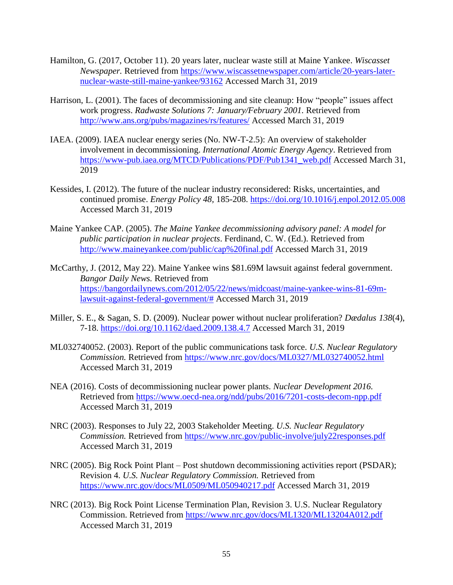- Hamilton, G. (2017, October 11). 20 years later, nuclear waste still at Maine Yankee. *Wiscasset Newspaper.* Retrieved from [https://www.wiscassetnewspaper.com/article/20-years-later](https://www.wiscassetnewspaper.com/article/20-years-later-nuclear-waste-still-maine-yankee/93162)[nuclear-waste-still-maine-yankee/93162](https://www.wiscassetnewspaper.com/article/20-years-later-nuclear-waste-still-maine-yankee/93162) Accessed March 31, 2019
- Harrison, L. (2001). The faces of decommissioning and site cleanup: How "people" issues affect work progress. *Radwaste Solutions 7: January/February 2001.* Retrieved from <http://www.ans.org/pubs/magazines/rs/features/> Accessed March 31, 2019
- IAEA. (2009). IAEA nuclear energy series (No. NW-T-2.5): An overview of stakeholder involvement in decommissioning. *International Atomic Energy Agency*. Retrieved from [https://www-pub.iaea.org/MTCD/Publications/PDF/Pub1341\\_web.pdf](https://www-pub.iaea.org/MTCD/Publications/PDF/Pub1341_web.pdf) Accessed March 31, 2019
- Kessides, I. (2012). The future of the nuclear industry reconsidered: Risks, uncertainties, and continued promise. *Energy Policy 48,* 185-208.<https://doi.org/10.1016/j.enpol.2012.05.008> Accessed March 31, 2019
- Maine Yankee CAP. (2005). *The Maine Yankee decommissioning advisory panel: A model for public participation in nuclear projects*. Ferdinand, C. W. (Ed.). Retrieved from <http://www.maineyankee.com/public/cap%20final.pdf> Accessed March 31, 2019
- McCarthy, J. (2012, May 22). Maine Yankee wins \$81.69M lawsuit against federal government. *Bangor Daily News.* Retrieved from [https://bangordailynews.com/2012/05/22/news/midcoast/maine-yankee-wins-81-69m](https://bangordailynews.com/2012/05/22/news/midcoast/maine-yankee-wins-81-69m-lawsuit-against-federal-government/)[lawsuit-against-federal-government/#](https://bangordailynews.com/2012/05/22/news/midcoast/maine-yankee-wins-81-69m-lawsuit-against-federal-government/) Accessed March 31, 2019
- Miller, S. E., & Sagan, S. D. (2009). Nuclear power without nuclear proliferation? *Dædalus 138*(4), 7-18.<https://doi.org/10.1162/daed.2009.138.4.7> Accessed March 31, 2019
- ML032740052. (2003). Report of the public communications task force. *U.S. Nuclear Regulatory Commission.* Retrieved from <https://www.nrc.gov/docs/ML0327/ML032740052.html> Accessed March 31, 2019
- NEA (2016). Costs of decommissioning nuclear power plants. *Nuclear Development 2016.*  Retrieved from<https://www.oecd-nea.org/ndd/pubs/2016/7201-costs-decom-npp.pdf> Accessed March 31, 2019
- NRC (2003). Responses to July 22, 2003 Stakeholder Meeting. *U.S. Nuclear Regulatory Commission.* Retrieved from <https://www.nrc.gov/public-involve/july22responses.pdf> Accessed March 31, 2019
- NRC (2005). Big Rock Point Plant Post shutdown decommissioning activities report (PSDAR); Revision 4. *U.S. Nuclear Regulatory Commission.* Retrieved from <https://www.nrc.gov/docs/ML0509/ML050940217.pdf> Accessed March 31, 2019
- NRC (2013). Big Rock Point License Termination Plan, Revision 3. U.S. Nuclear Regulatory Commission. Retrieved from<https://www.nrc.gov/docs/ML1320/ML13204A012.pdf> Accessed March 31, 2019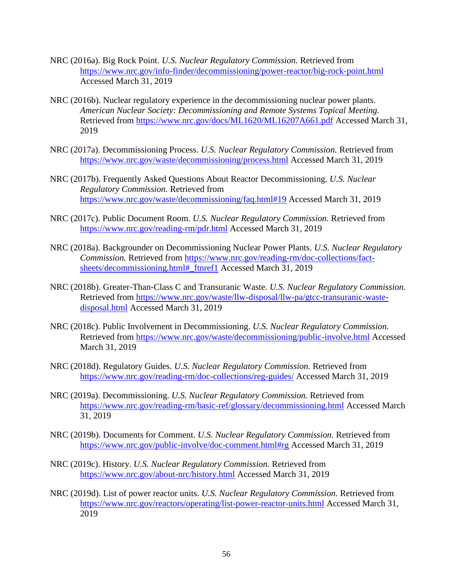- NRC (2016a). Big Rock Point. *U.S. Nuclear Regulatory Commission.* Retrieved from <https://www.nrc.gov/info-finder/decommissioning/power-reactor/big-rock-point.html> Accessed March 31, 2019
- NRC (2016b). Nuclear regulatory experience in the decommissioning nuclear power plants. *American Nuclear Society: Decommissioning and Remote Systems Topical Meeting.* Retrieved from<https://www.nrc.gov/docs/ML1620/ML16207A661.pdf> Accessed March 31, 2019
- NRC (2017a). Decommissioning Process. *U.S. Nuclear Regulatory Commission.* Retrieved from <https://www.nrc.gov/waste/decommissioning/process.html> Accessed March 31, 2019
- NRC (2017b). Frequently Asked Questions About Reactor Decommissioning. *U.S. Nuclear Regulatory Commission.* Retrieved from <https://www.nrc.gov/waste/decommissioning/faq.html#19> Accessed March 31, 2019
- NRC (2017c). Public Document Room. *U.S. Nuclear Regulatory Commission.* Retrieved from <https://www.nrc.gov/reading-rm/pdr.html> Accessed March 31, 2019
- NRC (2018a). Backgrounder on Decommissioning Nuclear Power Plants. *U.S. Nuclear Regulatory Commission.* Retrieved from [https://www.nrc.gov/reading-rm/doc-collections/fact](https://www.nrc.gov/reading-rm/doc-collections/fact-sheets/decommissioning.html#_ftnref1)[sheets/decommissioning.html#\\_ftnref1](https://www.nrc.gov/reading-rm/doc-collections/fact-sheets/decommissioning.html#_ftnref1) Accessed March 31, 2019
- NRC (2018b). Greater-Than-Class C and Transuranic Waste. *U.S. Nuclear Regulatory Commission.*  Retrieved from [https://www.nrc.gov/waste/llw-disposal/llw-pa/gtcc-transuranic-waste](https://www.nrc.gov/waste/llw-disposal/llw-pa/gtcc-transuranic-waste-disposal.html)[disposal.html](https://www.nrc.gov/waste/llw-disposal/llw-pa/gtcc-transuranic-waste-disposal.html) Accessed March 31, 2019
- NRC (2018c). Public Involvement in Decommissioning. *U.S. Nuclear Regulatory Commission.*  Retrieved from <https://www.nrc.gov/waste/decommissioning/public-involve.html> Accessed March 31, 2019
- NRC (2018d). Regulatory Guides. *U.S. Nuclear Regulatory Commission.* Retrieved from <https://www.nrc.gov/reading-rm/doc-collections/reg-guides/> Accessed March 31, 2019
- NRC (2019a). Decommissioning. *U.S. Nuclear Regulatory Commission.* Retrieved from <https://www.nrc.gov/reading-rm/basic-ref/glossary/decommissioning.html> Accessed March 31, 2019
- NRC (2019b). Documents for Comment. *U.S. Nuclear Regulatory Commission.* Retrieved from <https://www.nrc.gov/public-involve/doc-comment.html#rg> Accessed March 31, 2019
- NRC (2019c). History. *U.S. Nuclear Regulatory Commission.* Retrieved from <https://www.nrc.gov/about-nrc/history.html> Accessed March 31, 2019
- NRC (2019d). List of power reactor units. *U.S. Nuclear Regulatory Commission.* Retrieved from <https://www.nrc.gov/reactors/operating/list-power-reactor-units.html> Accessed March 31, 2019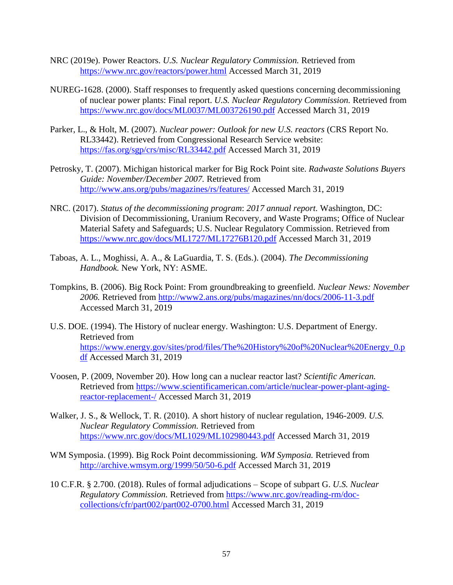- NRC (2019e). Power Reactors. *U.S. Nuclear Regulatory Commission.* Retrieved from <https://www.nrc.gov/reactors/power.html> Accessed March 31, 2019
- NUREG-1628. (2000). Staff responses to frequently asked questions concerning decommissioning of nuclear power plants: Final report. *U.S. Nuclear Regulatory Commission.* Retrieved from <https://www.nrc.gov/docs/ML0037/ML003726190.pdf> Accessed March 31, 2019
- Parker, L., & Holt, M. (2007). *Nuclear power: Outlook for new U.S. reactors* (CRS Report No. RL33442). Retrieved from Congressional Research Service website: <https://fas.org/sgp/crs/misc/RL33442.pdf> Accessed March 31, 2019
- Petrosky, T. (2007). Michigan historical marker for Big Rock Point site. *Radwaste Solutions Buyers Guide: November/December 2007.* Retrieved from <http://www.ans.org/pubs/magazines/rs/features/> Accessed March 31, 2019
- NRC. (2017). *Status of the decommissioning program*: *2017 annual report.* Washington, DC: Division of Decommissioning, Uranium Recovery, and Waste Programs; Office of Nuclear Material Safety and Safeguards; U.S. Nuclear Regulatory Commission. Retrieved from <https://www.nrc.gov/docs/ML1727/ML17276B120.pdf> Accessed March 31, 2019
- Taboas, A. L., Moghissi, A. A., & LaGuardia, T. S. (Eds.). (2004). *The Decommissioning Handbook.* New York, NY: ASME.
- Tompkins, B. (2006). Big Rock Point: From groundbreaking to greenfield. *Nuclear News: November 2006.* Retrieved from<http://www2.ans.org/pubs/magazines/nn/docs/2006-11-3.pdf> Accessed March 31, 2019
- U.S. DOE. (1994). The History of nuclear energy. Washington: U.S. Department of Energy. Retrieved from [https://www.energy.gov/sites/prod/files/The%20History%20of%20Nuclear%20Energy\\_0.p](https://www.energy.gov/sites/prod/files/The%20History%20of%20Nuclear%20Energy_0.pdf) [df](https://www.energy.gov/sites/prod/files/The%20History%20of%20Nuclear%20Energy_0.pdf) Accessed March 31, 2019
- Voosen, P. (2009, November 20). How long can a nuclear reactor last? *Scientific American.*  Retrieved from [https://www.scientificamerican.com/article/nuclear-power-plant-aging](https://www.scientificamerican.com/article/nuclear-power-plant-aging-reactor-replacement-/)[reactor-replacement-/](https://www.scientificamerican.com/article/nuclear-power-plant-aging-reactor-replacement-/) Accessed March 31, 2019
- Walker, J. S., & Wellock, T. R. (2010). A short history of nuclear regulation, 1946-2009. *U.S. Nuclear Regulatory Commission.* Retrieved from <https://www.nrc.gov/docs/ML1029/ML102980443.pdf> Accessed March 31, 2019
- WM Symposia. (1999). Big Rock Point decommissioning. *WM Symposia.* Retrieved from <http://archive.wmsym.org/1999/50/50-6.pdf> Accessed March 31, 2019
- 10 C.F.R. § 2.700. (2018). Rules of formal adjudications Scope of subpart G. *U.S. Nuclear Regulatory Commission.* Retrieved from [https://www.nrc.gov/reading-rm/doc](https://www.nrc.gov/reading-rm/doc-collections/cfr/part002/part002-0700.html)[collections/cfr/part002/part002-0700.html](https://www.nrc.gov/reading-rm/doc-collections/cfr/part002/part002-0700.html) Accessed March 31, 2019